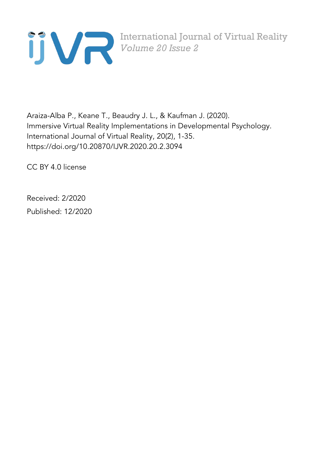

International Journal of Virtual Reality *Volume 20 Issue 2*

Araiza-Alba P., Keane T., Beaudry J. L., & Kaufman J. (2020). Immersive Virtual Reality Implementations in Developmental Psychology. International Journal of Virtual Reality, 20(2), 1-35. https://doi.org/10.20870/IJVR.2020.20.2.3094

CC BY 4.0 license

Received: 2/2020

Published: 12/2020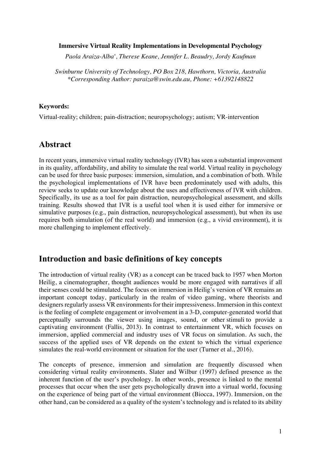#### **Immersive Virtual Reality Implementations in Developmental Psychology**

*Paola Araiza-Alba\* , Therese Keane, Jennifer L. Beaudry, Jordy Kaufman*

*Swinburne University of Technology, PO Box 218, Hawthorn, Victoria, Australia \*Corresponding Author: paraiza@swin.edu.au, Phone: +61392148822*

#### **Keywords:**

Virtual-reality; children; pain-distraction; neuropsychology; autism; VR-intervention

### **Abstract**

In recent years, immersive virtual reality technology (IVR) has seen a substantial improvement in its quality, affordability, and ability to simulate the real world. Virtual reality in psychology can be used for three basic purposes: immersion, simulation, and a combination of both. While the psychological implementations of IVR have been predominately used with adults, this review seeks to update our knowledge about the uses and effectiveness of IVR with children. Specifically, its use as a tool for pain distraction, neuropsychological assessment, and skills training. Results showed that IVR is a useful tool when it is used either for immersive or simulative purposes (e.g., pain distraction, neuropsychological assessment), but when its use requires both simulation (of the real world) and immersion (e.g., a vivid environment), it is more challenging to implement effectively.

## **Introduction and basic definitions of key concepts**

The introduction of virtual reality (VR) as a concept can be traced back to 1957 when Morton Heilig, a cinematographer, thought audiences would be more engaged with narratives if all their senses could be stimulated. The focus on immersion in Heilig's version of VR remains an important concept today, particularly in the realm of video gaming, where theorists and designers regularly assess VR environments for their impressiveness. Immersion in this context is the feeling of complete engagement or involvement in a 3-D, computer-generated world that perceptually surrounds the viewer using images, sound, or other stimuli to provide a captivating environment (Fallis, 2013). In contrast to entertainment VR, which focuses on immersion, applied commercial and industry uses of VR focus on simulation. As such, the success of the applied uses of VR depends on the extent to which the virtual experience simulates the real-world environment or situation for the user (Turner et al., 2016).

The concepts of presence, immersion and simulation are frequently discussed when considering virtual reality environments. Slater and Wilbur (1997) defined presence as the inherent function of the user's psychology. In other words, presence is linked to the mental processes that occur when the user gets psychologically drawn into a virtual world, focusing on the experience of being part of the virtual environment (Biocca, 1997). Immersion, on the other hand, can be considered as a quality of the system's technology and is related to its ability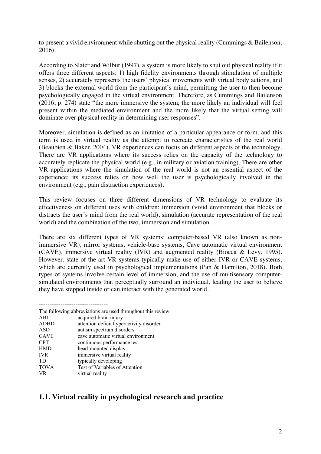to present a vivid environment while shutting out the physical reality (Cummings & Bailenson, 2016).

According to Slater and Wilbur (1997), a system is more likely to shut out physical reality if it offers three different aspects: 1) high fidelity environments through stimulation of multiple senses, 2) accurately represents the users' physical movements with virtual body actions, and 3) blocks the external world from the participant's mind, permitting the user to then become psychologically engaged in the virtual environment. Therefore, as Cummings and Bailenson (2016, p. 274) state "the more immersive the system, the more likely an individual will feel present within the mediated environment and the more likely that the virtual setting will dominate over physical reality in determining user responses".

Moreover, simulation is defined as an imitation of a particular appearance or form, and this term is used in virtual reality as the attempt to recreate characteristics of the real world (Beaubien & Baker, 2004). VR experiences can focus on different aspects of the technology. There are VR applications where its success relies on the capacity of the technology to accurately replicate the physical world (e.g., in military or aviation training). There are other VR applications where the simulation of the real world is not an essential aspect of the experience; its success relies on how well the user is psychologically involved in the environment (e.g., pain distraction experiences).

This review focuses on three different dimensions of VR technology to evaluate its effectiveness on different uses with children: immersion (vivid environment that blocks or distracts the user's mind from the real world), simulation (accurate representation of the real world) and the combination of the two, immersion and simulation.

There are six different types of VR systems: computer-based VR (also known as nonimmersive VR), mirror systems, vehicle-base systems, Cave automatic virtual environment (CAVE), immersive virtual reality (IVR) and augmented reality (Biocca & Levy, 1995). However, state-of-the-art VR systems typically make use of either IVR or CAVE systems, which are currently used in psychological implementations (Pan & Hamilton, 2018). Both types of systems involve certain level of immersion, and the use of multisensory computersimulated environments that perceptually surround an individual, leading the user to believe they have stepped inside or can interact with the generated world.

|             | The following abbreviations are used throughout this review: |
|-------------|--------------------------------------------------------------|
| ABI         | acquired brain injury                                        |
| <b>ADHD</b> | attention deficit hyperactivity disorder                     |
| <b>ASD</b>  | autism spectrum disorders                                    |
| <b>CAVE</b> | cave automatic virtual environment                           |
| <b>CPT</b>  | continuous performance test                                  |
| <b>HMD</b>  | head-mounted display                                         |
| <b>IVR</b>  | immersive virtual reality                                    |
| TD.         | typically developing                                         |
| <b>TOVA</b> | Test of Variables of Attention                               |
| VR.         | virtual reality                                              |

## **1.1. Virtual reality in psychological research and practice**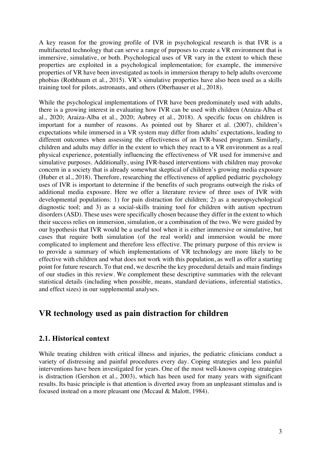A key reason for the growing profile of IVR in psychological research is that IVR is a multifaceted technology that can serve a range of purposes to create a VR environment that is immersive, simulative, or both. Psychological uses of VR vary in the extent to which these properties are exploited in a psychological implementation; for example, the immersive properties of VR have been investigated as tools in immersion therapy to help adults overcome phobias (Rothbaum et al., 2015). VR's simulative properties have also been used as a skills training tool for pilots, astronauts, and others (Oberhauser et al., 2018).

While the psychological implementations of IVR have been predominately used with adults, there is a growing interest in evaluating how IVR can be used with children (Araiza-Alba et al., 2020; Araiza-Alba et al., 2020; Aubrey et al., 2018). A specific focus on children is important for a number of reasons. As pointed out by Sharer et al. (2007), children's expectations while immersed in a VR system may differ from adults' expectations, leading to different outcomes when assessing the effectiveness of an IVR-based program. Similarly, children and adults may differ in the extent to which they react to a VR environment as a real physical experience, potentially influencing the effectiveness of VR used for immersive and simulative purposes. Additionally, using IVR-based interventions with children may provoke concern in a society that is already somewhat skeptical of children's growing media exposure (Huber et al., 2018). Therefore, researching the effectiveness of applied pediatric psychology uses of IVR is important to determine if the benefits of such programs outweigh the risks of additional media exposure. Here we offer a literature review of three uses of IVR with developmental populations: 1) for pain distraction for children; 2) as a neuropsychological diagnostic tool; and 3) as a social-skills training tool for children with autism spectrum disorders (ASD). These uses were specifically chosen because they differ in the extent to which their success relies on immersion, simulation, or a combination of the two. We were guided by our hypothesis that IVR would be a useful tool when it is either immersive or simulative, but cases that require both simulation (of the real world) and immersion would be more complicated to implement and therefore less effective. The primary purpose of this review is to provide a summary of which implementations of VR technology are more likely to be effective with children and what does not work with this population, as well as offer a starting point for future research. To that end, we describe the key procedural details and main findings of our studies in this review. We complement these descriptive summaries with the relevant statistical details (including when possible, means, standard deviations, inferential statistics, and effect sizes) in our supplemental analyses.

# **VR technology used as pain distraction for children**

### **2.1. Historical context**

While treating children with critical illness and injuries, the pediatric clinicians conduct a variety of distressing and painful procedures every day. Coping strategies and less painful interventions have been investigated for years. One of the most well-known coping strategies is distraction (Gershon et al., 2003), which has been used for many years with significant results. Its basic principle is that attention is diverted away from an unpleasant stimulus and is focused instead on a more pleasant one (Mccaul & Malott, 1984).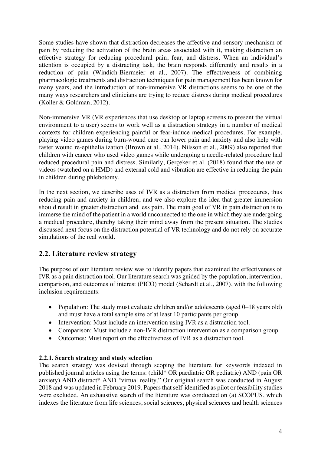Some studies have shown that distraction decreases the affective and sensory mechanism of pain by reducing the activation of the brain areas associated with it, making distraction an effective strategy for reducing procedural pain, fear, and distress. When an individual's attention is occupied by a distracting task, the brain responds differently and results in a reduction of pain (Windich-Biermeier et al., 2007). The effectiveness of combining pharmacologic treatments and distraction techniques for pain management has been known for many years, and the introduction of non-immersive VR distractions seems to be one of the many ways researchers and clinicians are trying to reduce distress during medical procedures (Koller & Goldman, 2012).

Non-immersive VR (VR experiences that use desktop or laptop screens to present the virtual environment to a user) seems to work well as a distraction strategy in a number of medical contexts for children experiencing painful or fear-induce medical procedures. For example, playing video games during burn-wound care can lower pain and anxiety and also help with faster wound re-epithelialization (Brown et al., 2014). Nilsson et al., 2009) also reported that children with cancer who used video games while undergoing a needle-related procedure had reduced procedural pain and distress. Similarly, Gerçeker et al. (2018) found that the use of videos (watched on a HMD) and external cold and vibration are effective in reducing the pain in children during phlebotomy.

In the next section, we describe uses of IVR as a distraction from medical procedures, thus reducing pain and anxiety in children, and we also explore the idea that greater immersion should result in greater distraction and less pain. The main goal of VR in pain distraction is to immerse the mind of the patient in a world unconnected to the one in which they are undergoing a medical procedure, thereby taking their mind away from the present situation. The studies discussed next focus on the distraction potential of VR technology and do not rely on accurate simulations of the real world.

## **2.2. Literature review strategy**

The purpose of our literature review was to identify papers that examined the effectiveness of IVR as a pain distraction tool. Our literature search was guided by the population, intervention, comparison, and outcomes of interest (PICO) model (Schardt et al., 2007), with the following inclusion requirements:

- Population: The study must evaluate children and/or adolescents (aged 0–18 years old) and must have a total sample size of at least 10 participants per group.
- Intervention: Must include an intervention using IVR as a distraction tool.
- Comparison: Must include a non-IVR distraction intervention as a comparison group.
- Outcomes: Must report on the effectiveness of IVR as a distraction tool.

#### **2.2.1. Search strategy and study selection**

The search strategy was devised through scoping the literature for keywords indexed in published journal articles using the terms: (child\* OR paediatric OR pediatric) AND (pain OR anxiety) AND distract\* AND "virtual reality." Our original search was conducted in August 2018 and was updated in February 2019. Papers that self-identified as pilot or feasibility studies were excluded. An exhaustive search of the literature was conducted on (a) SCOPUS, which indexes the literature from life sciences, social sciences, physical sciences and health sciences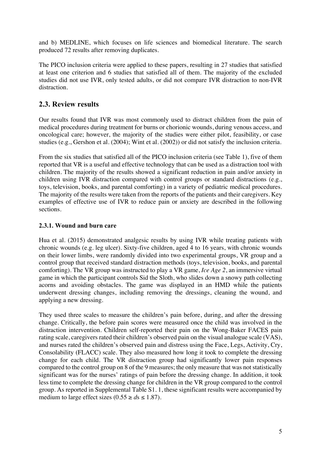and b) MEDLINE, which focuses on life sciences and biomedical literature. The search produced 72 results after removing duplicates.

The PICO inclusion criteria were applied to these papers, resulting in 27 studies that satisfied at least one criterion and 6 studies that satisfied all of them. The majority of the excluded studies did not use IVR, only tested adults, or did not compare IVR distraction to non-IVR distraction.

## **2.3. Review results**

Our results found that IVR was most commonly used to distract children from the pain of medical procedures during treatment for burns or chorionic wounds, during venous access, and oncological care; however, the majority of the studies were either pilot, feasibility, or case studies (e.g., Gershon et al. (2004); Wint et al. (2002)) or did not satisfy the inclusion criteria.

From the six studies that satisfied all of the PICO inclusion criteria (see Table 1), five of them reported that VR is a useful and effective technology that can be used as a distraction tool with children. The majority of the results showed a significant reduction in pain and/or anxiety in children using IVR distraction compared with control groups or standard distractions (e.g., toys, television, books, and parental comforting) in a variety of pediatric medical procedures. The majority of the results were taken from the reports of the patients and their caregivers. Key examples of effective use of IVR to reduce pain or anxiety are described in the following sections.

### **2.3.1. Wound and burn care**

Hua et al. (2015) demonstrated analgesic results by using IVR while treating patients with chronic wounds (e.g. leg ulcer). Sixty-five children, aged 4 to 16 years, with chronic wounds on their lower limbs, were randomly divided into two experimental groups, VR group and a control group that received standard distraction methods (toys, television, books, and parental comforting). The VR group was instructed to play a VR game, *Ice Age 2*, an immersive virtual game in which the participant controls Sid the Sloth, who slides down a snowy path collecting acorns and avoiding obstacles. The game was displayed in an HMD while the patients underwent dressing changes, including removing the dressings, cleaning the wound, and applying a new dressing.

They used three scales to measure the children's pain before, during, and after the dressing change. Critically, the before pain scores were measured once the child was involved in the distraction intervention. Children self-reported their pain on the Wong-Baker FACES pain rating scale, caregivers rated their children's observed pain on the visual analogue scale (VAS), and nurses rated the children's observed pain and distress using the Face, Legs, Activity, Cry, Consolability (FLACC) scale. They also measured how long it took to complete the dressing change for each child. The VR distraction group had significantly lower pain responses compared to the control group on 8 of the 9 measures; the only measure that was not statistically significant was for the nurses' ratings of pain before the dressing change. In addition, it took less time to complete the dressing change for children in the VR group compared to the control group. As reported in Supplemental Table S1. 1, these significant results were accompanied by medium to large effect sizes  $(0.55 \ge ds \le 1.87)$ .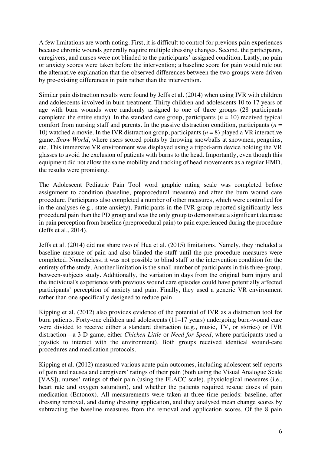A few limitations are worth noting. First, it is difficult to control for previous pain experiences because chronic wounds generally require multiple dressing changes. Second, the participants, caregivers, and nurses were not blinded to the participants' assigned condition. Lastly, no pain or anxiety scores were taken before the intervention; a baseline score for pain would rule out the alternative explanation that the observed differences between the two groups were driven by pre-existing differences in pain rather than the intervention.

Similar pain distraction results were found by Jeffs et al. (2014) when using IVR with children and adolescents involved in burn treatment. Thirty children and adolescents 10 to 17 years of age with burn wounds were randomly assigned to one of three groups (28 participants completed the entire study). In the standard care group, participants  $(n = 10)$  received typical comfort from nursing staff and parents. In the passive distraction condition, participants ( $n =$ 10) watched a movie. In the IVR distraction group, participants (*n* = 8) played a VR interactive game, *Snow World*, where users scored points by throwing snowballs at snowmen, penguins, etc. This immersive VR environment was displayed using a tripod-arm device holding the VR glasses to avoid the exclusion of patients with burns to the head. Importantly, even though this equipment did not allow the same mobility and tracking of head movements as a regular HMD, the results were promising.

The Adolescent Pediatric Pain Tool word graphic rating scale was completed before assignment to condition (baseline, preprocedural measure) and after the burn wound care procedure. Participants also completed a number of other measures, which were controlled for in the analyses (e.g., state anxiety). Participants in the IVR group reported significantly less procedural pain than the PD group and was the only group to demonstrate a significant decrease in pain perception from baseline (preprocedural pain) to pain experienced during the procedure (Jeffs et al., 2014).

Jeffs et al. (2014) did not share two of Hua et al. (2015) limitations. Namely, they included a baseline measure of pain and also blinded the staff until the pre-procedure measures were completed. Nonetheless, it was not possible to blind staff to the intervention condition for the entirety of the study. Another limitation is the small number of participants in this three-group, between-subjects study. Additionally, the variation in days from the original burn injury and the individual's experience with previous wound care episodes could have potentially affected participants' perception of anxiety and pain. Finally, they used a generic VR environment rather than one specifically designed to reduce pain.

Kipping et al. (2012) also provides evidence of the potential of IVR as a distraction tool for burn patients. Forty-one children and adolescents (11–17 years) undergoing burn-wound care were divided to receive either a standard distraction (e.g., music, TV, or stories) or IVR distraction—a 3-D game, either *Chicken Little* or *Need for Speed*, where participants used a joystick to interact with the environment). Both groups received identical wound-care procedures and medication protocols.

Kipping et al. (2012) measured various acute pain outcomes, including adolescent self-reports of pain and nausea and caregivers' ratings of their pain (both using the Visual Analogue Scale [VAS]), nurses' ratings of their pain (using the FLACC scale), physiological measures (i.e., heart rate and oxygen saturation), and whether the patients required rescue doses of pain medication (Entonox). All measurements were taken at three time periods: baseline, after dressing removal, and during dressing application, and they analysed mean change scores by subtracting the baseline measures from the removal and application scores. Of the 8 pain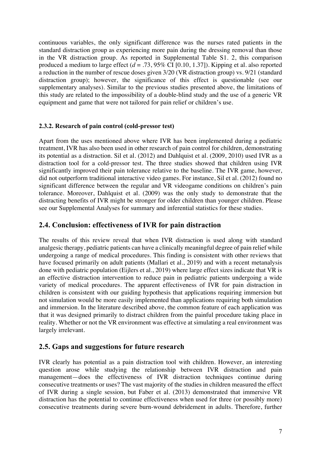continuous variables, the only significant difference was the nurses rated patients in the standard distraction group as experiencing more pain during the dressing removal than those in the VR distraction group. As reported in Supplemental Table S1. 2, this comparison produced a medium to large effect (*d* = .73, 95% CI [0.10, 1.37]). Kipping et al. also reported a reduction in the number of rescue doses given 3/20 (VR distraction group) vs. 9/21 (standard distraction group); however, the significance of this effect is questionable (see our supplementary analyses). Similar to the previous studies presented above, the limitations of this study are related to the impossibility of a double-blind study and the use of a generic VR equipment and game that were not tailored for pain relief or children's use.

#### **2.3.2. Research of pain control (cold-pressor test)**

Apart from the uses mentioned above where IVR has been implemented during a pediatric treatment, IVR has also been used in other research of pain control for children, demonstrating its potential as a distraction. Sil et al. (2012) and Dahlquist et al. (2009, 2010) used IVR as a distraction tool for a cold-pressor test. The three studies showed that children using IVR significantly improved their pain tolerance relative to the baseline. The IVR game, however, did not outperform traditional interactive video games. For instance, Sil et al. (2012) found no significant difference between the regular and VR videogame conditions on children's pain tolerance. Moreover, Dahlquist et al. (2009) was the only study to demonstrate that the distracting benefits of IVR might be stronger for older children than younger children. Please see our Supplemental Analyses for summary and inferential statistics for these studies.

### **2.4. Conclusion: effectiveness of IVR for pain distraction**

The results of this review reveal that when IVR distraction is used along with standard analgesic therapy, pediatric patients can have a clinically meaningful degree of pain relief while undergoing a range of medical procedures. This finding is consistent with other reviews that have focused primarily on adult patients (Mallari et al., 2019) and with a recent metanalysis done with pediatric population (Eijlers et al., 2019) where large effect sizes indicate that VR is an effective distraction intervention to reduce pain in pediatric patients undergoing a wide variety of medical procedures. The apparent effectiveness of IVR for pain distraction in children is consistent with our guiding hypothesis that applications requiring immersion but not simulation would be more easily implemented than applications requiring both simulation and immersion. In the literature described above, the common feature of each application was that it was designed primarily to distract children from the painful procedure taking place in reality. Whether or not the VR environment was effective at simulating a real environment was largely irrelevant.

## **2.5. Gaps and suggestions for future research**

IVR clearly has potential as a pain distraction tool with children. However, an interesting question arose while studying the relationship between IVR distraction and pain management—does the effectiveness of IVR distraction techniques continue during consecutive treatments or uses? The vast majority of the studies in children measured the effect of IVR during a single session, but Faber et al. (2013) demonstrated that immersive VR distraction has the potential to continue effectiveness when used for three (or possibly more) consecutive treatments during severe burn-wound debridement in adults. Therefore, further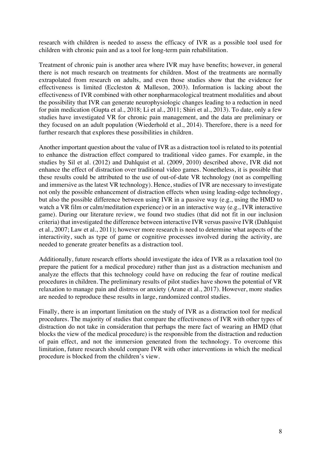research with children is needed to assess the efficacy of IVR as a possible tool used for children with chronic pain and as a tool for long-term pain rehabilitation.

Treatment of chronic pain is another area where IVR may have benefits; however, in general there is not much research on treatments for children. Most of the treatments are normally extrapolated from research on adults, and even those studies show that the evidence for effectiveness is limited (Eccleston & Malleson, 2003). Information is lacking about the effectiveness of IVR combined with other nonpharmacological treatment modalities and about the possibility that IVR can generate neurophysiologic changes leading to a reduction in need for pain medication (Gupta et al., 2018; Li et al., 2011; Shiri et al., 2013). To date, only a few studies have investigated VR for chronic pain management, and the data are preliminary or they focused on an adult population (Wiederhold et al., 2014). Therefore, there is a need for further research that explores these possibilities in children.

Another important question about the value of IVR as a distraction tool is related to its potential to enhance the distraction effect compared to traditional video games. For example, in the studies by Sil et al. (2012) and Dahlquist et al. (2009, 2010) described above, IVR did not enhance the effect of distraction over traditional video games. Nonetheless, it is possible that these results could be attributed to the use of out-of-date VR technology (not as compelling and immersive as the latest VR technology). Hence, studies of IVR are necessary to investigate not only the possible enhancement of distraction effects when using leading-edge technology, but also the possible difference between using IVR in a passive way (e.g., using the HMD to watch a VR film or calm/meditation experience) or in an interactive way (e.g., IVR interactive game). During our literature review, we found two studies (that did not fit in our inclusion criteria) that investigated the difference between interactive IVR versus passive IVR (Dahlquist et al., 2007; Law et al., 2011); however more research is need to determine what aspects of the interactivity, such as type of game or cognitive processes involved during the activity, are needed to generate greater benefits as a distraction tool.

Additionally, future research efforts should investigate the idea of IVR as a relaxation tool (to prepare the patient for a medical procedure) rather than just as a distraction mechanism and analyze the effects that this technology could have on reducing the fear of routine medical procedures in children. The preliminary results of pilot studies have shown the potential of VR relaxation to manage pain and distress or anxiety (Arane et al., 2017). However, more studies are needed to reproduce these results in large, randomized control studies.

Finally, there is an important limitation on the study of IVR as a distraction tool for medical procedures. The majority of studies that compare the effectiveness of IVR with other types of distraction do not take in consideration that perhaps the mere fact of wearing an HMD (that blocks the view of the medical procedure) is the responsible from the distraction and reduction of pain effect, and not the immersion generated from the technology. To overcome this limitation, future research should compare IVR with other interventions in which the medical procedure is blocked from the children's view.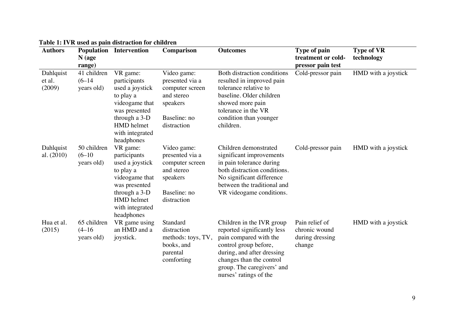| <b>Authors</b>                | $N$ (age<br>range)                    | <b>Population Intervention</b>                                                                                                                              | Comparison                                                                                                 | <b>Outcomes</b>                                                                                                                                                                                                               | Type of pain<br>treatment or cold-<br>pressor pain test      | <b>Type of VR</b><br>technology |
|-------------------------------|---------------------------------------|-------------------------------------------------------------------------------------------------------------------------------------------------------------|------------------------------------------------------------------------------------------------------------|-------------------------------------------------------------------------------------------------------------------------------------------------------------------------------------------------------------------------------|--------------------------------------------------------------|---------------------------------|
| Dahlquist<br>et al.<br>(2009) | 41 children<br>$(6-14)$<br>years old) | VR game:<br>participants<br>used a joystick<br>to play a<br>videogame that<br>was presented<br>through a 3-D<br>HMD helmet<br>with integrated<br>headphones | Video game:<br>presented via a<br>computer screen<br>and stereo<br>speakers<br>Baseline: no<br>distraction | Both distraction conditions<br>resulted in improved pain<br>tolerance relative to<br>baseline. Older children<br>showed more pain<br>tolerance in the VR<br>condition than younger<br>children.                               | Cold-pressor pain                                            | HMD with a joystick             |
| Dahlquist<br>al. (2010)       | 50 children<br>$(6-10)$<br>years old) | VR game:<br>participants<br>used a joystick<br>to play a<br>videogame that<br>was presented<br>through a 3-D<br>HMD helmet<br>with integrated<br>headphones | Video game:<br>presented via a<br>computer screen<br>and stereo<br>speakers<br>Baseline: no<br>distraction | Children demonstrated<br>significant improvements<br>in pain tolerance during<br>both distraction conditions.<br>No significant difference<br>between the traditional and<br>VR videogame conditions.                         | Cold-pressor pain                                            | HMD with a joystick             |
| Hua et al.<br>(2015)          | 65 children<br>$(4-16)$<br>years old) | VR game using<br>an HMD and a<br>joystick.                                                                                                                  | Standard<br>distraction<br>methods: toys, TV,<br>books, and<br>parental<br>comforting                      | Children in the IVR group<br>reported significantly less<br>pain compared with the<br>control group before,<br>during, and after dressing<br>changes than the control<br>group. The caregivers' and<br>nurses' ratings of the | Pain relief of<br>chronic wound<br>during dressing<br>change | HMD with a joystick             |

### **Table 1: IVR used as pain distraction for children**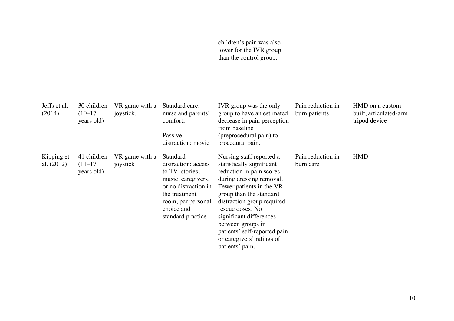#### children's pain was also lower for the IVR group than the control group.

| Jeffs et al.<br>(2014)     | 30 children<br>$(10-17)$<br>years old) | VR game with a<br>joystick. | Standard care:<br>nurse and parents'<br>comfort;<br>Passive<br>distraction: movie                                                                                          | IVR group was the only<br>group to have an estimated<br>decrease in pain perception<br>from baseline<br>(preprocedural pain) to<br>procedural pain.                                                                                                                                                                                                    | Pain reduction in<br>burn patients | HMD on a custom-<br>built, articulated-arm<br>tripod device |
|----------------------------|----------------------------------------|-----------------------------|----------------------------------------------------------------------------------------------------------------------------------------------------------------------------|--------------------------------------------------------------------------------------------------------------------------------------------------------------------------------------------------------------------------------------------------------------------------------------------------------------------------------------------------------|------------------------------------|-------------------------------------------------------------|
| Kipping et<br>al. $(2012)$ | 41 children<br>$(11-17)$<br>years old) | VR game with a<br>joystick  | Standard<br>distraction: access<br>to TV, stories,<br>music, caregivers,<br>or no distraction in<br>the treatment<br>room, per personal<br>choice and<br>standard practice | Nursing staff reported a<br>statistically significant<br>reduction in pain scores<br>during dressing removal.<br>Fewer patients in the VR<br>group than the standard<br>distraction group required<br>rescue doses. No<br>significant differences<br>between groups in<br>patients' self-reported pain<br>or caregivers' ratings of<br>patients' pain. | Pain reduction in<br>burn care     | <b>HMD</b>                                                  |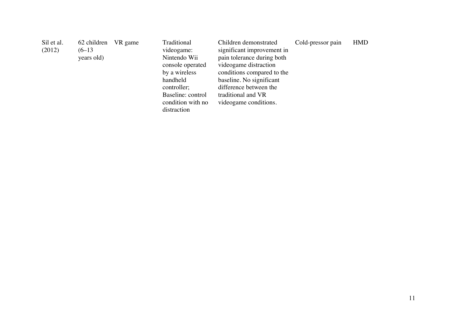| Sil et al. | 62 children | VR game | Traditional       | Children demonstrated      | Cold-pressor pain | <b>HMD</b> |
|------------|-------------|---------|-------------------|----------------------------|-------------------|------------|
| (2012)     | $(6-13)$    |         | videogame:        | significant improvement in |                   |            |
|            | years old)  |         | Nintendo Wii      | pain tolerance during both |                   |            |
|            |             |         | console operated  | videogame distraction      |                   |            |
|            |             |         | by a wireless     | conditions compared to the |                   |            |
|            |             |         | handheld          | baseline. No significant   |                   |            |
|            |             |         | controller;       | difference between the     |                   |            |
|            |             |         | Baseline: control | traditional and VR         |                   |            |
|            |             |         | condition with no | videogame conditions.      |                   |            |
|            |             |         | distraction       |                            |                   |            |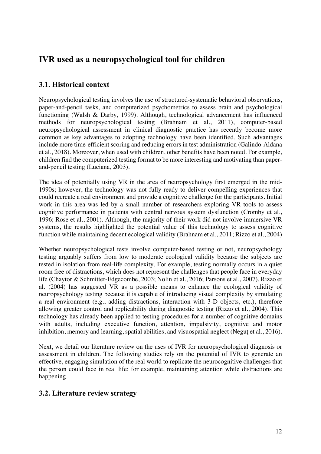# **IVR used as a neuropsychological tool for children**

## **3.1. Historical context**

Neuropsychological testing involves the use of structured-systematic behavioral observations, paper-and-pencil tasks, and computerized psychometrics to assess brain and psychological functioning (Walsh & Darby, 1999). Although, technological advancement has influenced methods for neuropsychological testing (Brahnam et al., 2011), computer-based neuropsychological assessment in clinical diagnostic practice has recently become more common as key advantages to adopting technology have been identified. Such advantages include more time-efficient scoring and reducing errors in test administration (Galindo-Aldana et al., 2018). Moreover, when used with children, other benefits have been noted. For example, children find the computerized testing format to be more interesting and motivating than paperand-pencil testing (Luciana, 2003).

The idea of potentially using VR in the area of neuropsychology first emerged in the mid-1990s; however, the technology was not fully ready to deliver compelling experiences that could recreate a real environment and provide a cognitive challenge for the participants. Initial work in this area was led by a small number of researchers exploring VR tools to assess cognitive performance in patients with central nervous system dysfunction (Cromby et al., 1996; Rose et al., 2001). Although, the majority of their work did not involve immersive VR systems, the results highlighted the potential value of this technology to assess cognitive function while maintaining decent ecological validity (Brahnam et al., 2011; Rizzo et al., 2004)

Whether neuropsychological tests involve computer-based testing or not, neuropsychology testing arguably suffers from low to moderate ecological validity because the subjects are tested in isolation from real-life complexity. For example, testing normally occurs in a quiet room free of distractions, which does not represent the challenges that people face in everyday life (Chaytor & Schmitter-Edgecombe, 2003; Nolin et al., 2016; Parsons et al., 2007). Rizzo et al. (2004) has suggested VR as a possible means to enhance the ecological validity of neuropsychology testing because it is capable of introducing visual complexity by simulating a real environment (e.g., adding distractions, interaction with 3-D objects, etc.), therefore allowing greater control and replicability during diagnostic testing (Rizzo et al., 2004). This technology has already been applied to testing procedures for a number of cognitive domains with adults, including executive function, attention, impulsivity, cognitive and motor inhibition, memory and learning, spatial abilities, and visuospatial neglect (Neguţ et al., 2016).

Next, we detail our literature review on the uses of IVR for neuropsychological diagnosis or assessment in children. The following studies rely on the potential of IVR to generate an effective, engaging simulation of the real world to replicate the neurocognitive challenges that the person could face in real life; for example, maintaining attention while distractions are happening.

## **3.2. Literature review strategy**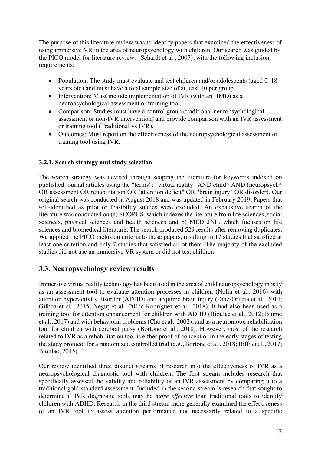The purpose of this literature review was to identify papers that examined the effectiveness of using immersive VR in the area of neuropsychology with children. Our search was guided by the PICO model for literature reviews (Schardt et al., 2007), with the following inclusion requirements:

- Population: The study must evaluate and test children and/or adolescents (aged 0–18 years old) and must have a total sample size of at least 10 per group.
- Intervention: Must include implementation of IVR (with an HMD) as a neuropsychological assessment or training tool.
- Comparison: Studies must have a control group (traditional neuropsychological assessment or non-IVR intervention) and provide comparison with an IVR assessment or training tool (Traditional vs IVR).
- Outcomes: Must report on the effectiveness of the neuropsychological assessment or training tool using IVR.

#### **3.2.1. Search strategy and study selection**

The search strategy was devised through scoping the literature for keywords indexed on published journal articles using the "terms": "virtual reality" AND child\* AND (neuropsych\* OR assessment OR rehabilitation OR "attention deficit" OR "brain injury" OR disorder). Our original search was conducted in August 2018 and was updated in February 2019. Papers that self-identified as pilot or feasibility studies were excluded. An exhaustive search of the literature was conducted on (a) SCOPUS, which indexes the literature from life sciences, social sciences, physical sciences and health sciences and b) MEDLINE, which focuses on life sciences and biomedical literature. The search produced 529 results after removing duplicates. We applied the PICO inclusion criteria to these papers, resulting in 17 studies that satisfied at least one criterion and only 7 studies that satisfied all of them. The majority of the excluded studies did not use an immersive VR system or did not test children.

## **3.3. Neuropsychology review results**

Immersive virtual reality technology has been used in the area of child neuropsychology mostly as an assessment tool to evaluate attention processes in children (Nolin et al., 2016) with attention hyperactivity disorder (ADHD) and acquired brain injury (Díaz-Orueta et al., 2014; Gilboa et al., 2015; Neguț et al., 2016; Rodríguez et al., 2018). It had also been used as a training tool for attention enhancement for children with ADHD (Bioulac et al., 2012; Blume et al., 2017) and with behavioral problems (Cho et al., 2002), and as a neuromotor rehabilitation tool for children with cerebral palsy (Bortone et al., 2018). However, most of the research related to IVR as a rehabilitation tool is either proof of concept or in the early stages of testing the study protocol for a randomized controlled trial (e.g., Bortone et al., 2018; Biffi et al., 2017; Bioulac, 2015).

Our review identified three distinct streams of research into the effectiveness of IVR as a neuropsychological diagnostic tool with children. The first stream includes research that specifically assessed the validity and reliability of an IVR assessment by comparing it to a traditional gold-standard assessment. Included in the second stream is research that sought to determine if IVR diagnostic tools may be *more effective* than traditional tools to identify children with ADHD. Research in the third stream more generally examined the effectiveness of an IVR tool to assess attention performance not necessarily related to a specific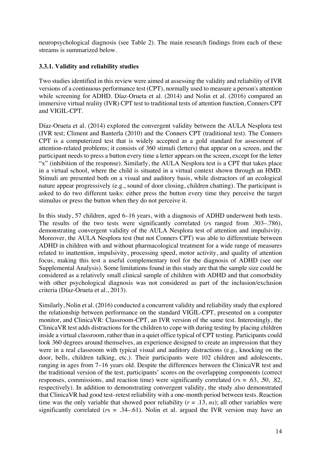neuropsychological diagnosis (see Table 2). The main research findings from each of these streams is summarized below.

#### **3.3.1. Validity and reliability studies**

Two studies identified in this review were aimed at assessing the validity and reliability of IVR versions of a continuous performance test (CPT), normally used to measure a person's attention while screening for ADHD. Díaz-Orueta et al. (2014) and Nolin et al. (2016) compared an immersive virtual reality (IVR) CPT test to traditional tests of attention function, Conners CPT and VIGIL-CPT.

Díaz-Orueta et al. (2014) explored the convergent validity between the AULA Nesplora test (IVR test; Climent and Banterla (2010) and the Conners CPT (traditional test). The Conners CPT is a computerized test that is widely accepted as a gold standard for assessment of attention-related problems; it consists of 360 stimuli (letters) that appear on a screen, and the participant needs to press a button every time a letter appears on the screen, except for the letter "x" (inhibition of the response). Similarly, the AULA Nesplora test is a CPT that takes place in a virtual school, where the child is situated in a virtual context shown through an HMD. Stimuli are presented both on a visual and auditory basis, while distractors of an ecological nature appear progressively (e.g., sound of door closing, children chatting). The participant is asked to do two different tasks: either press the button every time they perceive the target stimulus or press the button when they do not perceive it.

In this study, 57 children, aged 6–16 years, with a diagnosis of ADHD underwent both tests. The results of the two tests were significantly correlated (*r*s ranged from .303–.786), demonstrating convergent validity of the AULA Nesplora test of attention and impulsivity. Moreover, the AULA Nesplora test (but not Conners CPT) was able to differentiate between ADHD in children with and without pharmacological treatment for a wide range of measures related to inattention, impulsivity, processing speed, motor activity, and quality of attention focus, making this test a useful complementary tool for the diagnosis of ADHD (see our Supplemental Analysis). Some limitations found in this study are that the sample size could be considered as a relatively small clinical sample of children with ADHD and that comorbidity with other psychological diagnosis was not considered as part of the inclusion/exclusion criteria (Díaz-Orueta et al., 2013).

Similarly, Nolin et al. (2016) conducted a concurrent validity and reliability study that explored the relationship between performance on the standard VIGIL-CPT, presented on a computer monitor, and ClinicaVR: Classroom-CPT, an IVR version of the same test. Interestingly, the ClinicaVR test adds distractions for the children to cope with during testing by placing children inside a virtual classroom, rather than in a quiet office typical of CPT testing. Participants could look 360 degrees around themselves, an experience designed to create an impression that they were in a real classroom with typical visual and auditory distractions (e.g., knocking on the door, bells, children talking, etc.). Their participants were 102 children and adolescents, ranging in ages from 7–16 years old. Despite the differences between the ClinicaVR test and the traditional version of the test, participants' scores on the overlapping components (correct responses, commissions, and reaction time) were significantly correlated (*r*s = .63, .50, .82, respectively). In addition to demonstrating convergent validity, the study also demonstrated that ClinicaVR had good test–retest reliability with a one-month period between tests. Reaction time was the only variable that showed poor reliability  $(r = .13, ns)$ ; all other variables were significantly correlated ( $rs = .34-.61$ ). Nolin et al. argued the IVR version may have an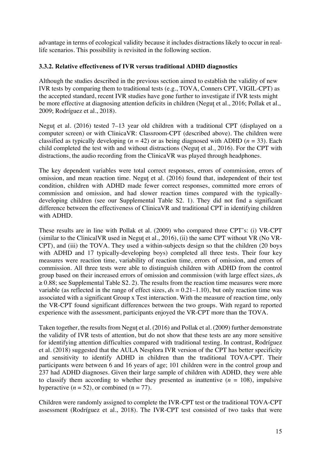advantage in terms of ecological validity because it includes distractions likely to occur in reallife scenarios. This possibility is revisited in the following section.

#### **3.3.2. Relative effectiveness of IVR versus traditional ADHD diagnostics**

Although the studies described in the previous section aimed to establish the validity of new IVR tests by comparing them to traditional tests (e.g., TOVA, Conners CPT, VIGIL-CPT) as the accepted standard, recent IVR studies have gone further to investigate if IVR tests might be more effective at diagnosing attention deficits in children (Neguț et al., 2016; Pollak et al., 2009; Rodríguez et al., 2018).

Neguț et al. (2016) tested 7–13 year old children with a traditional CPT (displayed on a computer screen) or with ClinicaVR: Classroom-CPT (described above). The children were classified as typically developing  $(n = 42)$  or as being diagnosed with ADHD  $(n = 33)$ . Each child completed the test with and without distractions (Neguț et al., 2016). For the CPT with distractions, the audio recording from the ClinicaVR was played through headphones.

The key dependent variables were total correct responses, errors of commission, errors of omission, and mean reaction time. Neguț et al. (2016) found that, independent of their test condition, children with ADHD made fewer correct responses, committed more errors of commission and omission, and had slower reaction times compared with the typicallydeveloping children (see our Supplemental Table S2. 1). They did not find a significant difference between the effectiveness of ClinicaVR and traditional CPT in identifying children with ADHD.

These results are in line with Pollak et al. (2009) who compared three CPT's: (i) VR-CPT (similar to the ClinicalVR used in Neguț et al., 2016), (ii) the same CPT without VR (No VR-CPT), and (iii) the TOVA. They used a within-subjects design so that the children (20 boys with ADHD and 17 typically-developing boys) completed all three tests. Their four key measures were reaction time, variability of reaction time, errors of omission, and errors of commission. All three tests were able to distinguish children with ADHD from the control group based on their increased errors of omission and commission (with large effect sizes, *d*s  $\geq$  0.88; see Supplemental Table S2. 2). The results from the reaction time measures were more variable (as reflected in the range of effect sizes,  $ds = 0.21 - 1.10$ ), but only reaction time was associated with a significant Group x Test interaction. With the measure of reaction time, only the VR-CPT found significant differences between the two groups. With regard to reported experience with the assessment, participants enjoyed the VR-CPT more than the TOVA.

Taken together, the results from Neguț et al. (2016) and Pollak et al. (2009) further demonstrate the validity of IVR tests of attention, but do not show that these tests are any more sensitive for identifying attention difficulties compared with traditional testing. In contrast, Rodríguez et al. (2018) suggested that the AULA Nesplora IVR version of the CPT has better specificity and sensitivity to identify ADHD in children than the traditional TOVA-CPT. Their participants were between 6 and 16 years of age; 101 children were in the control group and 237 had ADHD diagnoses. Given their large sample of children with ADHD, they were able to classify them according to whether they presented as inattentive  $(n = 108)$ , impulsive hyperactive  $(n = 52)$ , or combined  $(n = 77)$ .

Children were randomly assigned to complete the IVR-CPT test or the traditional TOVA-CPT assessment (Rodríguez et al., 2018). The IVR-CPT test consisted of two tasks that were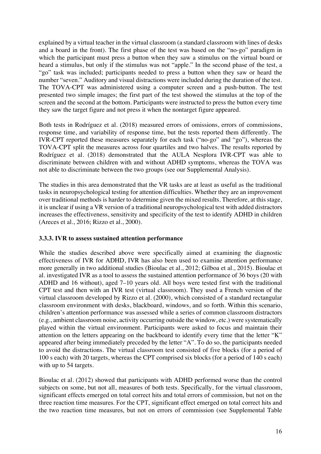explained by a virtual teacher in the virtual classroom (a standard classroom with lines of desks and a board in the front). The first phase of the test was based on the "no-go" paradigm in which the participant must press a button when they saw a stimulus on the virtual board or heard a stimulus, but only if the stimulus was not "apple." In the second phase of the test, a "go" task was included; participants needed to press a button when they saw or heard the number "seven." Auditory and visual distractions were included during the duration of the test. The TOVA-CPT was administered using a computer screen and a push-button. The test presented two simple images; the first part of the test showed the stimulus at the top of the screen and the second at the bottom. Participants were instructed to press the button every time they saw the target figure and not press it when the nontarget figure appeared.

Both tests in Rodríguez et al. (2018) measured errors of omissions, errors of commissions, response time, and variability of response time, but the tests reported them differently. The IVR-CPT reported these measures separately for each task ("no-go" and "go"), whereas the TOVA-CPT split the measures across four quartiles and two halves. The results reported by Rodríguez et al. (2018) demonstrated that the AULA Nesplora IVR-CPT was able to discriminate between children with and without ADHD symptoms, whereas the TOVA was not able to discriminate between the two groups (see our Supplemental Analysis).

The studies in this area demonstrated that the VR tasks are at least as useful as the traditional tasks in neuropsychological testing for attention difficulties. Whether they are an improvement over traditional methods is harder to determine given the mixed results. Therefore, at this stage, it is unclear if using a VR version of a traditional neuropsychological test with added distractors increases the effectiveness, sensitivity and specificity of the test to identify ADHD in children (Areces et al., 2016; Rizzo et al., 2000).

#### **3.3.3. IVR to assess sustained attention performance**

While the studies described above were specifically aimed at examining the diagnostic effectiveness of IVR for ADHD, IVR has also been used to examine attention performance more generally in two additional studies (Bioulac et al., 2012; Gilboa et al., 2015). Bioulac et al. investigated IVR as a tool to assess the sustained attention performance of 36 boys (20 with ADHD and 16 without), aged 7–10 years old. All boys were tested first with the traditional CPT test and then with an IVR test (virtual classroom). They used a French version of the virtual classroom developed by Rizzo et al. (2000), which consisted of a standard rectangular classroom environment with desks, blackboard, windows, and so forth. Within this scenario, children's attention performance was assessed while a series of common classroom distractors (e.g., ambient classroom noise, activity occurring outside the window, etc.) were systematically played within the virtual environment. Participants were asked to focus and maintain their attention on the letters appearing on the backboard to identify every time that the letter "K" appeared after being immediately preceded by the letter "A". To do so, the participants needed to avoid the distractions. The virtual classroom test consisted of five blocks (for a period of 100 s each) with 20 targets, whereas the CPT comprised six blocks (for a period of 140 s each) with up to 54 targets.

Bioulac et al. (2012) showed that participants with ADHD performed worse than the control subjects on some, but not all, measures of both tests. Specifically, for the virtual classroom, significant effects emerged on total correct hits and total errors of commission, but not on the three reaction time measures. For the CPT, significant effect emerged on total correct hits and the two reaction time measures, but not on errors of commission (see Supplemental Table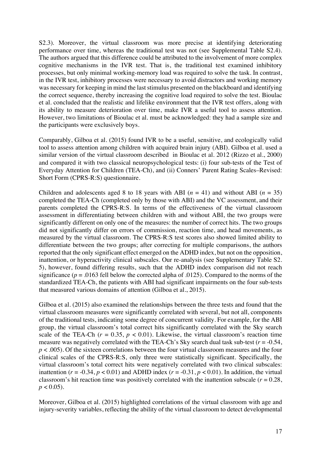S2.3). Moreover, the virtual classroom was more precise at identifying deteriorating performance over time, whereas the traditional test was not (see Supplemental Table S2.4). The authors argued that this difference could be attributed to the involvement of more complex cognitive mechanisms in the IVR test. That is, the traditional test examined inhibitory processes, but only minimal working-memory load was required to solve the task. In contrast, in the IVR test, inhibitory processes were necessary to avoid distractors and working memory was necessary for keeping in mind the last stimulus presented on the blackboard and identifying the correct sequence, thereby increasing the cognitive load required to solve the test. Bioulac et al. concluded that the realistic and lifelike environment that the IVR test offers, along with its ability to measure deterioration over time, make IVR a useful tool to assess attention. However, two limitations of Bioulac et al. must be acknowledged: they had a sample size and the participants were exclusively boys.

Comparably, Gilboa et al. (2015) found IVR to be a useful, sensitive, and ecologically valid tool to assess attention among children with acquired brain injury (ABI). Gilboa et al. used a similar version of the virtual classroom described in Bioulac et al. 2012 (Rizzo et al., 2000) and compared it with two classical neuropsychological tests: (i) four sub-tests of the Test of Everyday Attention for Children (TEA-Ch), and (ii) Conners' Parent Rating Scales–Revised: Short Form (CPRS-R:S) questionnaire.

Children and adolescents aged 8 to 18 years with ABI  $(n = 41)$  and without ABI  $(n = 35)$ completed the TEA-Ch (completed only by those with ABI) and the VC assessment, and their parents completed the CPRS-R:S. In terms of the effectiveness of the virtual classroom assessment in differentiating between children with and without ABI, the two groups were significantly different on only one of the measures: the number of correct hits. The two groups did not significantly differ on errors of commission, reaction time, and head movements, as measured by the virtual classroom. The CPRS-R:S test scores also showed limited ability to differentiate between the two groups; after correcting for multiple comparisons, the authors reported that the only significant effect emerged on the ADHD index, but not on the opposition, inattention, or hyperactivity clinical subscales. Our re-analysis (see Supplementary Table S2. 5), however, found differing results, such that the ADHD index comparison did not reach significance ( $p = .0163$  fell below the corrected alpha of  $.0125$ ). Compared to the norms of the standardized TEA-Ch, the patients with ABI had significant impairments on the four sub-tests that measured various domains of attention (Gilboa et al., 2015).

Gilboa et al. (2015) also examined the relationships between the three tests and found that the virtual classroom measures were significantly correlated with several, but not all, components of the traditional tests, indicating some degree of concurrent validity. For example, for the ABI group, the virtual classroom's total correct hits significantly correlated with the Sky search scale of the TEA-Ch  $(r = 0.35, p < 0.01)$ . Likewise, the virtual classroom's reaction time measure was negatively correlated with the TEA-Ch's Sky search dual task sub-test  $(r = -0.54,$ *p* < .005). Of the sixteen correlations between the four virtual classroom measures and the four clinical scales of the CPRS-R:S, only three were statistically significant. Specifically, the virtual classroom's total correct hits were negatively correlated with two clinical subscales: inattention ( $r = -0.34$ ,  $p < 0.01$ ) and ADHD index ( $r = -0.31$ ,  $p < 0.01$ ). In addition, the virtual classroom's hit reaction time was positively correlated with the inattention subscale ( $r = 0.28$ ,  $p < 0.05$ ).

Moreover, Gilboa et al. (2015) highlighted correlations of the virtual classroom with age and injury-severity variables, reflecting the ability of the virtual classroom to detect developmental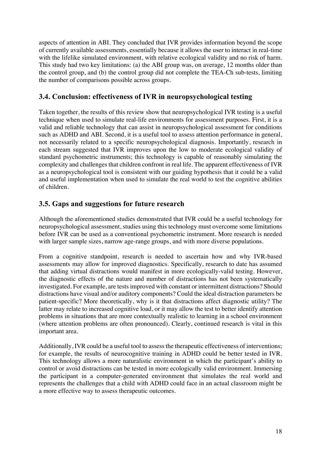aspects of attention in ABI. They concluded that IVR provides information beyond the scope of currently available assessments, essentially because it allows the user to interact in real-time with the lifelike simulated environment, with relative ecological validity and no risk of harm. This study had two key limitations: (a) the ABI group was, on average, 12 months older than the control group, and (b) the control group did not complete the TEA-Ch sub-tests, limiting the number of comparisons possible across groups.

## **3.4. Conclusion: effectiveness of IVR in neuropsychological testing**

Taken together, the results of this review show that neuropsychological IVR testing is a useful technique when used to simulate real-life environments for assessment purposes. First, it is a valid and reliable technology that can assist in neuropsychological assessment for conditions such as ADHD and ABI. Second, it is a useful tool to assess attention performance in general, not necessarily related to a specific neuropsychological diagnosis. Importantly, research in each stream suggested that IVR improves upon the low to moderate ecological validity of standard psychometric instruments; this technology is capable of reasonably simulating the complexity and challenges that children confront in real life. The apparent effectiveness of IVR as a neuropsychological tool is consistent with our guiding hypothesis that it could be a valid and useful implementation when used to simulate the real world to test the cognitive abilities of children.

## **3.5. Gaps and suggestions for future research**

Although the aforementioned studies demonstrated that IVR could be a useful technology for neuropsychological assessment, studies using this technology must overcome some limitations before IVR can be used as a conventional psychometric instrument. More research is needed with larger sample sizes, narrow age-range groups, and with more diverse populations.

From a cognitive standpoint, research is needed to ascertain how and why IVR-based assessments may allow for improved diagnostics. Specifically, research to date has assumed that adding virtual distractions would manifest in more ecologically-valid testing. However, the diagnostic effects of the nature and number of distractions has not been systematically investigated. For example, are tests improved with constant or intermittent distractions? Should distractions have visual and/or auditory components? Could the ideal distraction parameters be patient-specific? More theoretically, why is it that distractions affect diagnostic utility? The latter may relate to increased cognitive load, or it may allow the test to better identify attention problems in situations that are more contextually realistic to learning in a school environment (where attention problems are often pronounced). Clearly, continued research is vital in this important area.

Additionally, IVR could be a useful tool to assess the therapeutic effectiveness of interventions; for example, the results of neurocognitive training in ADHD could be better tested in IVR. This technology allows a more naturalistic environment in which the participant's ability to control or avoid distractions can be tested in more ecologically valid environment. Immersing the participant in a computer-generated environment that simulates the real world and represents the challenges that a child with ADHD could face in an actual classroom might be a more effective way to assess therapeutic outcomes.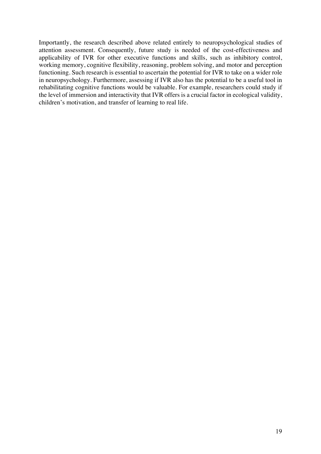Importantly, the research described above related entirely to neuropsychological studies of attention assessment. Consequently, future study is needed of the cost-effectiveness and applicability of IVR for other executive functions and skills, such as inhibitory control, working memory, cognitive flexibility, reasoning, problem solving, and motor and perception functioning. Such research is essential to ascertain the potential for IVR to take on a wider role in neuropsychology. Furthermore, assessing if IVR also has the potential to be a useful tool in rehabilitating cognitive functions would be valuable. For example, researchers could study if the level of immersion and interactivity that IVR offers is a crucial factor in ecological validity, children's motivation, and transfer of learning to real life.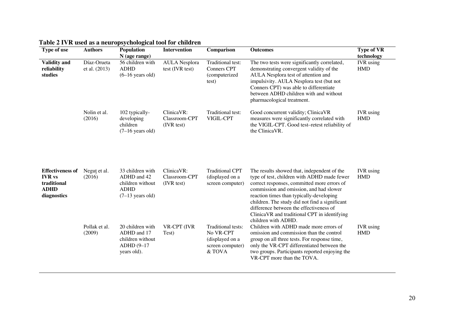| Type of use                                                                           | <b>Authors</b>               | $\sim$ , $\sim$ $\sim$ $\sim$ $\sim$<br>Population<br>$N$ (age range)                            | <b>Intervention</b>                       | Comparison                                                                       | <b>Outcomes</b>                                                                                                                                                                                                                                                                                                                                                                                      | <b>Type of VR</b><br>technology |
|---------------------------------------------------------------------------------------|------------------------------|--------------------------------------------------------------------------------------------------|-------------------------------------------|----------------------------------------------------------------------------------|------------------------------------------------------------------------------------------------------------------------------------------------------------------------------------------------------------------------------------------------------------------------------------------------------------------------------------------------------------------------------------------------------|---------------------------------|
| <b>Validity and</b><br>reliability<br>studies                                         | Díaz-Orueta<br>et al. (2013) | 56 children with<br><b>ADHD</b><br>$(6-16$ years old)                                            | <b>AULA</b> Nesplora<br>test (IVR test)   | Traditional test:<br>Conners CPT<br>(computerized<br>test)                       | The two tests were significantly correlated,<br>demonstrating convergent validity of the<br>AULA Nesplora test of attention and<br>impulsivity. AULA Nesplora test (but not<br>Conners CPT) was able to differentiate<br>between ADHD children with and without<br>pharmacological treatment.                                                                                                        | <b>IVR</b> using<br><b>HMD</b>  |
|                                                                                       | Nolin et al.<br>(2016)       | 102 typically-<br>developing<br>children<br>$(7-16$ years old)                                   | ClinicaVR:<br>Classroom-CPT<br>(IVR test) | Traditional test:<br>VIGIL-CPT                                                   | Good concurrent validity; ClinicaVR<br>measures were significantly correlated with<br>the VIGIL-CPT. Good test-retest reliability of<br>the ClinicaVR.                                                                                                                                                                                                                                               | <b>IVR</b> using<br><b>HMD</b>  |
| <b>Effectiveness of</b><br><b>IVR</b> vs<br>traditional<br><b>ADHD</b><br>diagnostics | Negut et al.<br>(2016)       | 33 children with<br>ADHD and 42<br>children without<br><b>ADHD</b><br>$(7-13 \text{ years old})$ | ClinicaVR:<br>Classroom-CPT<br>(IVR test) | <b>Traditional CPT</b><br>(displayed on a<br>screen computer)                    | The results showed that, independent of the<br>type of test, children with ADHD made fewer<br>correct responses, committed more errors of<br>commission and omission, and had slower<br>reaction times than typically-developing<br>children. The study did not find a significant<br>difference between the effectiveness of<br>ClinicaVR and traditional CPT in identifying<br>children with ADHD. | <b>IVR</b> using<br><b>HMD</b>  |
|                                                                                       | Pollak et al.<br>(2009)      | 20 children with<br>ADHD and 17<br>children without<br>ADHD (9-17<br>years old).                 | VR-CPT (IVR<br>Test)                      | Traditional tests:<br>No VR-CPT<br>(displayed on a<br>screen computer)<br>& TOVA | Children with ADHD made more errors of<br>omission and commission than the control<br>group on all three tests. For response time,<br>only the VR-CPT differentiated between the<br>two groups. Participants reported enjoying the<br>VR-CPT more than the TOVA.                                                                                                                                     | <b>IVR</b> using<br><b>HMD</b>  |

**Table 2 IVR used as a neuropsychological tool for children**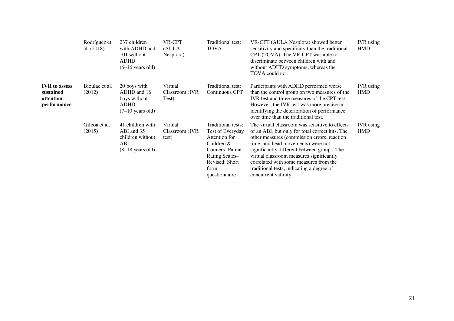|                                                               | Rodríguez et<br>al. $(2018)$ | 237 children<br>with ADHD and<br>101 without<br><b>ADHD</b><br>$(6-16$ years old)        | VR-CPT<br>(AULA<br>Nesplora)        | Traditional test:<br>TOVA                                                                                                                               | VR-CPT (AULA Nesplora) showed better<br>sensitivity and specificity than the traditional<br>CPT (TOVA). The VR-CPT was able to<br>discriminate between children with and<br>without ADHD symptoms, whereas the<br>TOVA could not.                                                                                                                                                                | <b>IVR</b> using<br><b>HMD</b> |
|---------------------------------------------------------------|------------------------------|------------------------------------------------------------------------------------------|-------------------------------------|---------------------------------------------------------------------------------------------------------------------------------------------------------|--------------------------------------------------------------------------------------------------------------------------------------------------------------------------------------------------------------------------------------------------------------------------------------------------------------------------------------------------------------------------------------------------|--------------------------------|
| <b>IVR</b> to assess<br>sustained<br>attention<br>performance | Bioulac et al.<br>(2012)     | 20 boys with<br>ADHD and 16<br>boys without<br><b>ADHD</b><br>$(7-10 \text{ years old})$ | Virtual<br>Classroom (IVR<br>Test)  | Traditional test:<br>Continuous CPT                                                                                                                     | Participants with ADHD performed worse<br>than the control group on two measures of the<br>IVR test and three measures of the CPT test.<br>However, the IVR test was more precise in<br>identifying the deterioration of performance<br>over time than the traditional test.                                                                                                                     | <b>IVR</b> using<br><b>HMD</b> |
|                                                               | Gilboa et al.<br>(2015)      | 41 children with<br>ABI and 35<br>children without<br>ABI<br>$(8-18 \text{ years old})$  | Virtual<br>Classroom (IVR)<br>test) | Traditional tests:<br>Test of Everyday<br>Attention for<br>Children $&$<br>Conners' Parent<br>Rating Scales-<br>Revised: Short<br>form<br>questionnaire | The virtual classroom was sensitive to effects<br>of an ABI, but only for total correct hits. The<br>other measures (commission errors, reaction<br>time, and head movements) were not<br>significantly different between groups. The<br>virtual classroom measures significantly<br>correlated with some measures from the<br>traditional tests, indicating a degree of<br>concurrent validity. | <b>IVR</b> using<br><b>HMD</b> |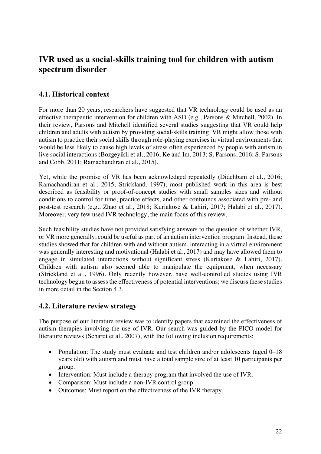# **IVR used as a social-skills training tool for children with autism spectrum disorder**

## **4.1. Historical context**

For more than 20 years, researchers have suggested that VR technology could be used as an effective therapeutic intervention for children with ASD (e.g., Parsons & Mitchell, 2002). In their review, Parsons and Mitchell identified several studies suggesting that VR could help children and adults with autism by providing social-skills training. VR might allow those with autism to practice their social skills through role-playing exercises in virtual environments that would be less likely to cause high levels of stress often experienced by people with autism in live social interactions (Bozgeyikli et al., 2016; Ke and Im, 2013; S. Parsons, 2016; S. Parsons and Cobb, 2011; Ramachandiran et al., 2015).

Yet, while the promise of VR has been acknowledged repeatedly (Didehbani et al., 2016; Ramachandiran et al., 2015; Strickland, 1997), most published work in this area is best described as feasibility or proof-of-concept studies with small samples sizes and without conditions to control for time, practice effects, and other confounds associated with pre- and post-test research (e.g., Zhao et al., 2018; Kuriakose & Lahiri, 2017; Halabi et al., 2017). Moreover, very few used IVR technology, the main focus of this review.

Such feasibility studies have not provided satisfying answers to the question of whether IVR, or VR more generally, could be useful as part of an autism intervention program. Instead, these studies showed that for children with and without autism, interacting in a virtual environment was generally interesting and motivational (Halabi et al., 2017) and may have allowed them to engage in simulated interactions without significant stress (Kuriakose & Lahiri, 2017). Children with autism also seemed able to manipulate the equipment, when necessary (Strickland et al., 1996). Only recently however, have well-controlled studies using IVR technology begun to assess the effectiveness of potential interventions; we discuss these studies in more detail in the Section 4.3.

## **4.2. Literature review strategy**

The purpose of our literature review was to identify papers that examined the effectiveness of autism therapies involving the use of IVR. Our search was guided by the PICO model for literature reviews (Schardt et al., 2007), with the following inclusion requirements:

- Population: The study must evaluate and test children and/or adolescents (aged 0–18) years old) with autism and must have a total sample size of at least 10 participants per group.
- Intervention: Must include a therapy program that involved the use of IVR.
- Comparison: Must include a non-IVR control group.
- Outcomes: Must report on the effectiveness of the IVR therapy.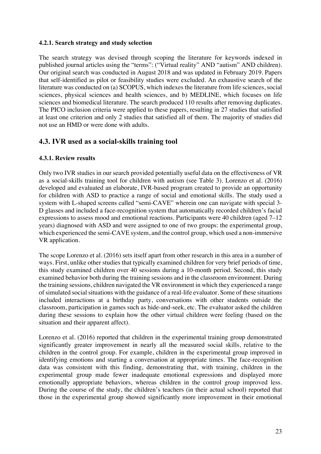#### **4.2.1. Search strategy and study selection**

The search strategy was devised through scoping the literature for keywords indexed in published journal articles using the "terms": ("Virtual reality" AND "autism" AND children). Our original search was conducted in August 2018 and was updated in February 2019. Papers that self-identified as pilot or feasibility studies were excluded. An exhaustive search of the literature was conducted on (a) SCOPUS, which indexes the literature from life sciences, social sciences, physical sciences and health sciences, and b) MEDLINE, which focuses on life sciences and biomedical literature. The search produced 110 results after removing duplicates. The PICO inclusion criteria were applied to these papers, resulting in 27 studies that satisfied at least one criterion and only 2 studies that satisfied all of them. The majority of studies did not use an HMD or were done with adults.

### **4.3. IVR used as a social-skills training tool**

#### **4.3.1. Review results**

Only two IVR studies in our search provided potentially useful data on the effectiveness of VR as a social-skills training tool for children with autism (see Table 3). Lorenzo et al. (2016) developed and evaluated an elaborate, IVR-based program created to provide an opportunity for children with ASD to practice a range of social and emotional skills. The study used a system with L-shaped screens called "semi-CAVE" wherein one can navigate with special 3- D glasses and included a face-recognition system that automatically recorded children's facial expressions to assess mood and emotional reactions. Participants were 40 children (aged 7–12 years) diagnosed with ASD and were assigned to one of two groups: the experimental group, which experienced the semi-CAVE system, and the control group, which used a non-immersive VR application.

The scope Lorenzo et al. (2016) sets itself apart from other research in this area in a number of ways. First, unlike other studies that typically examined children for very brief periods of time, this study examined children over 40 sessions during a 10-month period. Second, this study examined behavior both during the training sessions and in the classroom environment. During the training sessions, children navigated the VR environment in which they experienced a range of simulated social situations with the guidance of a real-life evaluator. Some of these situations included interactions at a birthday party, conversations with other students outside the classroom, participation in games such as hide-and-seek, etc. The evaluator asked the children during these sessions to explain how the other virtual children were feeling (based on the situation and their apparent affect).

Lorenzo et al. (2016) reported that children in the experimental training group demonstrated significantly greater improvement in nearly all the measured social skills, relative to the children in the control group. For example, children in the experimental group improved in identifying emotions and starting a conversation at appropriate times. The face-recognition data was consistent with this finding, demonstrating that, with training, children in the experimental group made fewer inadequate emotional expressions and displayed more emotionally appropriate behaviors, whereas children in the control group improved less. During the course of the study, the children's teachers (in their actual school) reported that those in the experimental group showed significantly more improvement in their emotional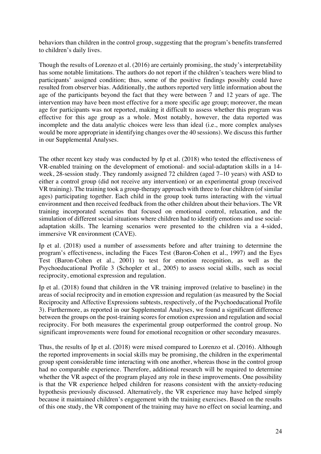behaviors than children in the control group, suggesting that the program's benefits transferred to children's daily lives.

Though the results of Lorenzo et al. (2016) are certainly promising, the study's interpretability has some notable limitations. The authors do not report if the children's teachers were blind to participants' assigned condition; thus, some of the positive findings possibly could have resulted from observer bias. Additionally, the authors reported very little information about the age of the participants beyond the fact that they were between 7 and 12 years of age. The intervention may have been most effective for a more specific age group; moreover, the mean age for participants was not reported, making it difficult to assess whether this program was effective for this age group as a whole. Most notably, however, the data reported was incomplete and the data analytic choices were less than ideal (i.e., more complex analyses would be more appropriate in identifying changes over the 40 sessions). We discuss this further in our Supplemental Analyses.

The other recent key study was conducted by Ip et al. (2018) who tested the effectiveness of VR-enabled training on the development of emotional- and social-adaptation skills in a 14 week, 28-session study. They randomly assigned 72 children (aged 7–10 years) with ASD to either a control group (did not receive any intervention) or an experimental group (received VR training). The training took a group-therapy approach with three to four children (of similar ages) participating together. Each child in the group took turns interacting with the virtual environment and then received feedback from the other children about their behaviors. The VR training incorporated scenarios that focused on emotional control, relaxation, and the simulation of different social situations where children had to identify emotions and use socialadaptation skills. The learning scenarios were presented to the children via a 4-sided, immersive VR environment (CAVE).

Ip et al. (2018) used a number of assessments before and after training to determine the program's effectiveness, including the Faces Test (Baron-Cohen et al., 1997) and the Eyes Test (Baron-Cohen et al., 2001) to test for emotion recognition, as well as the Psychoeducational Profile 3 (Schopler et al., 2005) to assess social skills, such as social reciprocity, emotional expression and regulation.

Ip et al. (2018) found that children in the VR training improved (relative to baseline) in the areas of social reciprocity and in emotion expression and regulation (as measured by the Social Reciprocity and Affective Expressions subtests, respectively, of the Psychoeducational Profile 3). Furthermore, as reported in our Supplemental Analyses, we found a significant difference between the groups on the post-training scores for emotion expression and regulation and social reciprocity. For both measures the experimental group outperformed the control group. No significant improvements were found for emotional recognition or other secondary measures.

Thus, the results of Ip et al. (2018) were mixed compared to Lorenzo et al. (2016). Although the reported improvements in social skills may be promising, the children in the experimental group spent considerable time interacting with one another, whereas those in the control group had no comparable experience. Therefore, additional research will be required to determine whether the VR aspect of the program played any role in these improvements. One possibility is that the VR experience helped children for reasons consistent with the anxiety-reducing hypothesis previously discussed. Alternatively, the VR experience may have helped simply because it maintained children's engagement with the training exercises. Based on the results of this one study, the VR component of the training may have no effect on social learning, and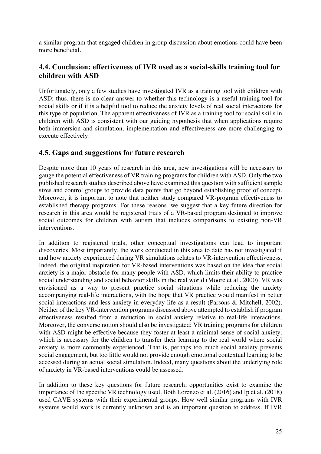a similar program that engaged children in group discussion about emotions could have been more beneficial.

## **4.4. Conclusion: effectiveness of IVR used as a social-skills training tool for children with ASD**

Unfortunately, only a few studies have investigated IVR as a training tool with children with ASD; thus, there is no clear answer to whether this technology is a useful training tool for social skills or if it is a helpful tool to reduce the anxiety levels of real social interactions for this type of population. The apparent effectiveness of IVR as a training tool for social skills in children with ASD is consistent with our guiding hypothesis that when applications require both immersion and simulation, implementation and effectiveness are more challenging to execute effectively.

### **4.5. Gaps and suggestions for future research**

Despite more than 10 years of research in this area, new investigations will be necessary to gauge the potential effectiveness of VR training programs for children with ASD. Only the two published research studies described above have examined this question with sufficient sample sizes and control groups to provide data points that go beyond establishing proof of concept. Moreover, it is important to note that neither study compared VR-program effectiveness to established therapy programs. For these reasons, we suggest that a key future direction for research in this area would be registered trials of a VR-based program designed to improve social outcomes for children with autism that includes comparisons to existing non-VR interventions.

In addition to registered trials, other conceptual investigations can lead to important discoveries. Most importantly, the work conducted in this area to date has not investigated if and how anxiety experienced during VR simulations relates to VR-intervention effectiveness. Indeed, the original inspiration for VR-based interventions was based on the idea that social anxiety is a major obstacle for many people with ASD, which limits their ability to practice social understanding and social behavior skills in the real world (Moore et al., 2000). VR was envisioned as a way to present practice social situations while reducing the anxiety accompanying real-life interactions, with the hope that VR practice would manifest in better social interactions and less anxiety in everyday life as a result (Parsons & Mitchell, 2002). Neither of the key VR-intervention programs discussed above attempted to establish if program effectiveness resulted from a reduction in social anxiety relative to real-life interactions. Moreover, the converse notion should also be investigated: VR training programs for children with ASD might be effective because they foster at least a minimal sense of social anxiety, which is necessary for the children to transfer their learning to the real world where social anxiety is more commonly experienced. That is, perhaps too much social anxiety prevents social engagement, but too little would not provide enough emotional contextual learning to be accessed during an actual social simulation. Indeed, many questions about the underlying role of anxiety in VR-based interventions could be assessed.

In addition to these key questions for future research, opportunities exist to examine the importance of the specific VR technology used. Both Lorenzo et al. (2016) and Ip et al. (2018) used CAVE systems with their experimental groups. How well similar programs with IVR systems would work is currently unknown and is an important question to address. If IVR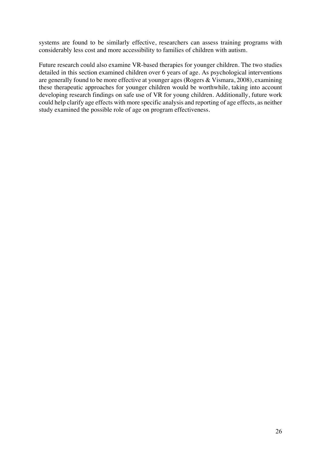systems are found to be similarly effective, researchers can assess training programs with considerably less cost and more accessibility to families of children with autism.

Future research could also examine VR-based therapies for younger children. The two studies detailed in this section examined children over 6 years of age. As psychological interventions are generally found to be more effective at younger ages (Rogers & Vismara, 2008), examining these therapeutic approaches for younger children would be worthwhile, taking into account developing research findings on safe use of VR for young children. Additionally, future work could help clarify age effects with more specific analysis and reporting of age effects, as neither study examined the possible role of age on program effectiveness.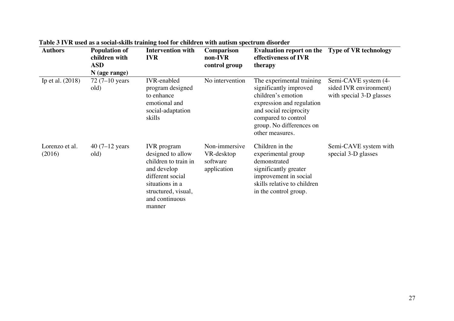| <b>Authors</b>           | <b>Population of</b><br>children with<br><b>ASD</b><br>N (age range) | <b>Intervention with</b><br><b>IVR</b>                                                                                                                                   | <b>Comparison</b><br>non-IVR<br>control group          | <b>Evaluation report on the Type of VR technology</b><br>effectiveness of IVR<br>therapy                                                                                                               |                                                                            |
|--------------------------|----------------------------------------------------------------------|--------------------------------------------------------------------------------------------------------------------------------------------------------------------------|--------------------------------------------------------|--------------------------------------------------------------------------------------------------------------------------------------------------------------------------------------------------------|----------------------------------------------------------------------------|
| Ip et al. $(2018)$       | $72(7-10 \text{ years})$<br>old)                                     | <b>IVR-enabled</b><br>program designed<br>to enhance<br>emotional and<br>social-adaptation<br>skills                                                                     | No intervention                                        | The experimental training<br>significantly improved<br>children's emotion<br>expression and regulation<br>and social reciprocity<br>compared to control<br>group. No differences on<br>other measures. | Semi-CAVE system (4-<br>sided IVR environment)<br>with special 3-D glasses |
| Lorenzo et al.<br>(2016) | 40 $(7-12)$ years<br>old)                                            | <b>IVR</b> program<br>designed to allow<br>children to train in<br>and develop<br>different social<br>situations in a<br>structured, visual,<br>and continuous<br>manner | Non-immersive<br>VR-desktop<br>software<br>application | Children in the<br>experimental group<br>demonstrated<br>significantly greater<br>improvement in social<br>skills relative to children<br>in the control group.                                        | Semi-CAVE system with<br>special 3-D glasses                               |

**Table 3 IVR used as a social-skills training tool for children with autism spectrum disorder**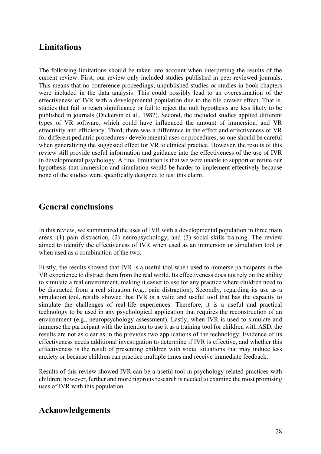# **Limitations**

The following limitations should be taken into account when interpreting the results of the current review. First, our review only included studies published in peer-reviewed journals. This means that no conference proceedings, unpublished studies or studies in book chapters were included in the data analysis. This could possibly lead to an overestimation of the effectiveness of IVR with a developmental population due to the file drawer effect. That is, studies that fail to reach significance or fail to reject the null hypothesis are less likely to be published in journals (Dickersin et al., 1987). Second, the included studies applied different types of VR software, which could have influenced the amount of immersion, and VR effectivity and efficiency. Third, there was a difference in the effect and effectiveness of VR for different pediatric procedures / developmental uses or procedures, so one should be careful when generalizing the suggested effect for VR to clinical practice. However, the results of this review still provide useful information and guidance into the effectiveness of the use of IVR in developmental psychology. A final limitation is that we were unable to support or refute our hypothesis that immersion and simulation would be harder to implement effectively because none of the studies were specifically designed to test this claim.

# **General conclusions**

In this review, we summarized the uses of IVR with a developmental population in three main areas: (1) pain distraction, (2) neuropsychology, and (3) social-skills training. The review aimed to identify the effectiveness of IVR when used as an immersion or simulation tool or when used as a combination of the two.

Firstly, the results showed that IVR is a useful tool when used to immerse participants in the VR experience to distract them from the real world. Its effectiveness does not rely on the ability to simulate a real environment, making it easier to use for any practice where children need to be distracted from a real situation (e.g., pain distraction). Secondly, regarding its use as a simulation tool, results showed that IVR is a valid and useful tool that has the capacity to simulate the challenges of real-life experiences. Therefore, it is a useful and practical technology to be used in any psychological application that requires the reconstruction of an environment (e.g., neuropsychology assessment). Lastly, when IVR is used to simulate and immerse the participant with the intention to use it as a training tool for children with ASD, the results are not as clear as in the previous two applications of the technology. Evidence of its effectiveness needs additional investigation to determine if IVR is effective, and whether this effectiveness is the result of presenting children with social situations that may induce less anxiety or because children can practice multiple times and receive immediate feedback.

Results of this review showed IVR can be a useful tool in psychology-related practices with children; however, further and more rigorous research is needed to examine the most promising uses of IVR with this population.

## **Acknowledgements**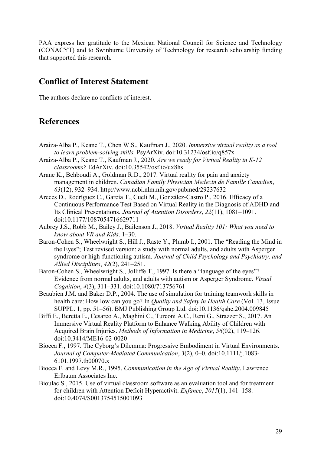PAA express her gratitude to the Mexican National Council for Science and Technology (CONACYT) and to Swinburne University of Technology for research scholarship funding that supported this research.

## **Conflict of Interest Statement**

The authors declare no conflicts of interest.

## **References**

- Araiza-Alba P., Keane T., Chen W.S., Kaufman J., 2020. *Immersive virtual reality as a tool to learn problem-solving skills.* PsyArXiv. doi:10.31234/osf.io/q857x
- Araiza-Alba P., Keane T., Kaufman J., 2020. *Are we ready for Virtual Reality in K-12 classrooms?* EdArXiv. doi:10.35542/osf.io/ux8hs
- Arane K., Behboudi A., Goldman R.D., 2017. Virtual reality for pain and anxiety management in children. *Canadian Family Physician Medecin de Famille Canadien*, *63*(12), 932–934. http://www.ncbi.nlm.nih.gov/pubmed/29237632
- Areces D., Rodríguez C., García T., Cueli M., González-Castro P., 2016. Efficacy of a Continuous Performance Test Based on Virtual Reality in the Diagnosis of ADHD and Its Clinical Presentations. *Journal of Attention Disorders*, *22*(11), 1081–1091. doi:10.1177/1087054716629711
- Aubrey J.S., Robb M., Bailey J., Bailenson J., 2018. *Virtual Reality 101: What you need to know about VR and Kids*. 1–30.
- Baron-Cohen S., Wheelwright S., Hill J., Raste Y., Plumb I., 2001. The "Reading the Mind in the Eyes"; Test revised version: a study with normal adults, and adults with Asperger syndrome or high-functioning autism. *Journal of Child Psychology and Psychiatry, and Allied Disciplines*, *42*(2), 241–251.
- Baron-Cohen S., Wheelwright S., Jolliffe T., 1997. Is there a "language of the eyes"? Evidence from normal adults, and adults with autism or Asperger Syndrome. *Visual Cognition*, *4*(3), 311–331. doi:10.1080/713756761
- Beaubien J.M. and Baker D.P., 2004. The use of simulation for training teamwork skills in health care: How low can you go? In *Quality and Safety in Health Care* (Vol. 13, Issue SUPPL. 1, pp. 51–56). BMJ Publishing Group Ltd. doi:10.1136/qshc.2004.009845
- Biffi E., Beretta E., Cesareo A., Maghini C., Turconi A.C., Reni G., Strazzer S., 2017. An Immersive Virtual Reality Platform to Enhance Walking Ability of Children with Acquired Brain Injuries. *Methods of Information in Medicine*, *56*(02), 119–126. doi:10.3414/ME16-02-0020
- Biocca F., 1997. The Cyborg's Dilemma: Progressive Embodiment in Virtual Environments. *Journal of Computer-Mediated Communication*, *3*(2), 0–0. doi:10.1111/j.1083- 6101.1997.tb00070.x
- Biocca F. and Levy M.R., 1995. *Communication in the Age of Virtual Reality*. Lawrence Erlbaum Associates Inc.
- Bioulac S., 2015. Use of virtual classroom software as an evaluation tool and for treatment for children with Attention Deficit Hyperactivit. *Enfance*, *2015*(1), 141–158. doi:10.4074/S0013754515001093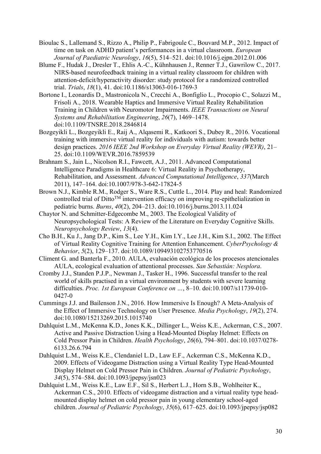- Bioulac S., Lallemand S., Rizzo A., Philip P., Fabrigoule C., Bouvard M.P., 2012. Impact of time on task on ADHD patient's performances in a virtual classroom. *European Journal of Paediatric Neurology*, *16*(5), 514–521. doi:10.1016/j.ejpn.2012.01.006
- Blume F., Hudak J., Dresler T., Ehlis A.-C., Kühnhausen J., Renner T.J., Gawrilow C., 2017. NIRS-based neurofeedback training in a virtual reality classroom for children with attention-deficit/hyperactivity disorder: study protocol for a randomized controlled trial. *Trials*, *18*(1), 41. doi:10.1186/s13063-016-1769-3
- Bortone I., Leonardis D., Mastronicola N., Crecchi A., Bonfiglio L., Procopio C., Solazzi M., Frisoli A., 2018. Wearable Haptics and Immersive Virtual Reality Rehabilitation Training in Children with Neuromotor Impairments. *IEEE Transactions on Neural Systems and Rehabilitation Engineering*, *26*(7), 1469–1478. doi:10.1109/TNSRE.2018.2846814
- Bozgeyikli L., Bozgeyikli E., Raij A., Alqasemi R., Katkoori S., Dubey R., 2016. Vocational training with immersive virtual reality for individuals with autism: towards better design practices. *2016 IEEE 2nd Workshop on Everyday Virtual Reality (WEVR)*, 21– 25. doi:10.1109/WEVR.2016.7859539
- Brahnam S., Jain L., Nicolson R.I., Fawcett, A.J., 2011. Advanced Computational Intelligence Paradigms in Healthcare 6: Virtual Reality in Psychotherapy, Rehabilitation, and Assessment. *Advanced Computational Intelligence*, *337*(March 2011), 147–164. doi:10.1007/978-3-642-17824-5
- Brown N.J., Kimble R.M., Rodger S., Ware R.S., Cuttle L., 2014. Play and heal: Randomized controlled trial of  $Ditto^{TM}$  intervention efficacy on improving re-epithelialization in pediatric burns. *Burns*, *40*(2), 204–213. doi:10.1016/j.burns.2013.11.024
- Chaytor N. and Schmitter-Edgecombe M., 2003. The Ecological Validity of Neuropsychological Tests: A Review of the Literature on Everyday Cognitive Skills. *Neuropsychology Review*, *13*(4).
- Cho B.H., Ku J., Jang D.P., Kim S., Lee Y.H., Kim I.Y., Lee J.H., Kim S.I., 2002. The Effect of Virtual Reality Cognitive Training for Attention Enhancement. *CyberPsychology & Behavior*, *5*(2), 129–137. doi:10.1089/109493102753770516
- Climent G. and Banterla F., 2010. AULA, evaluación ecológica de los procesos atencionales AULA, ecological evaluation of attentional processes. *San Sebastián: Nesplora*.
- Cromby J.J., Standen P.J.P., Newman J., Tasker H., 1996. Successful transfer to the real world of skills practised in a virtual environment by students with severe learning difficulties. *Proc. 1st European Conference on …*, 8–10. doi:10.1007/s11739-010- 0427-0
- Cummings J.J. and Bailenson J.N., 2016. How Immersive Is Enough? A Meta-Analysis of the Effect of Immersive Technology on User Presence. *Media Psychology*, *19*(2), 274. doi:10.1080/15213269.2015.1015740
- Dahlquist L.M., McKenna K.D., Jones K.K., Dillinger L., Weiss K.E., Ackerman, C.S., 2007. Active and Passive Distraction Using a Head-Mounted Display Helmet: Effects on Cold Pressor Pain in Children. *Health Psychology*, *26*(6), 794–801. doi:10.1037/0278- 6133.26.6.794
- Dahlquist L.M., Weiss K.E., Clendaniel L.D., Law E.F., Ackerman C.S., McKenna K.D., 2009. Effects of Videogame Distraction using a Virtual Reality Type Head-Mounted Display Helmet on Cold Pressor Pain in Children. *Journal of Pediatric Psychology*, *34*(5), 574–584. doi:10.1093/jpepsy/jsn023
- Dahlquist L.M., Weiss K.E., Law E.F., Sil S., Herbert L.J., Horn S.B., Wohlheiter K., Ackerman C.S., 2010. Effects of videogame distraction and a virtual reality type headmounted display helmet on cold pressor pain in young elementary school-aged children. *Journal of Pediatric Psychology*, *35*(6), 617–625. doi:10.1093/jpepsy/jsp082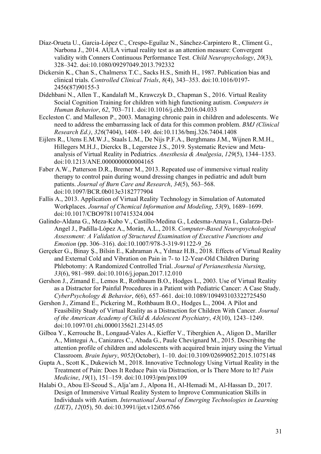- Díaz-Orueta U., Garcia-López C., Crespo-Eguílaz N., Sánchez-Carpintero R., Climent G., Narbona J., 2014. AULA virtual reality test as an attention measure: Convergent validity with Conners Continuous Performance Test. *Child Neuropsychology*, *20*(3), 328–342. doi:10.1080/09297049.2013.792332
- Dickersin K., Chan S., Chalmersx T.C., Sacks H.S., Smith H., 1987. Publication bias and clinical trials. *Controlled Clinical Trials*, *8*(4), 343–353. doi:10.1016/0197- 2456(87)90155-3
- Didehbani N., Allen T., Kandalaft M., Krawczyk D., Chapman S., 2016. Virtual Reality Social Cognition Training for children with high functioning autism. *Computers in Human Behavior*, *62*, 703–711. doi:10.1016/j.chb.2016.04.033
- Eccleston C. and Malleson P., 2003. Managing chronic pain in children and adolescents. We need to address the embarrassing lack of data for this common problem. *BMJ (Clinical Research Ed.)*, *326*(7404), 1408–149. doi:10.1136/bmj.326.7404.1408
- Eijlers R., Utens E.M.W.J., Staals L.M., De Nijs P.F.A., Berghmans J.M., Wijnen R.M.H., Hillegers M.H.J., Dierckx B., Legerstee J.S., 2019. Systematic Review and Metaanalysis of Virtual Reality in Pediatrics. *Anesthesia & Analgesia*, *129*(5), 1344–1353. doi:10.1213/ANE.0000000000004165
- Faber A.W., Patterson D.R., Bremer M., 2013. Repeated use of immersive virtual reality therapy to control pain during wound dressing changes in pediatric and adult burn patients. *Journal of Burn Care and Research*, *34*(5), 563–568. doi:10.1097/BCR.0b013e3182777904
- Fallis A., 2013. Application of Virtual Reality Technology in Simulation of Automated Workplaces. *Journal of Chemical Information and Modeling*, *53*(9), 1689–1699. doi:10.1017/CBO9781107415324.004
- Galindo-Aldana G., Meza-Kubo V., Castillo-Medina G., Ledesma-Amaya I., Galarza-Del-Angel J., Padilla-López A., Morán, A.L., 2018. *Computer-Based Neuropsychological Assessment: A Validation of Structured Examination of Executive Functions and Emotion* (pp. 306–316). doi:10.1007/978-3-319-91122-9\_26
- Gerçeker G., Binay Ş., Bilsin E., Kahraman A., Yılmaz H.B., 2018. Effects of Virtual Reality and External Cold and Vibration on Pain in 7- to 12-Year-Old Children During Phlebotomy: A Randomized Controlled Trial. *Journal of Perianesthesia Nursing*, *33*(6), 981–989. doi:10.1016/j.jopan.2017.12.010
- Gershon J., Zimand E., Lemos R., Rothbaum B.O., Hodges L., 2003. Use of Virtual Reality as a Distractor for Painful Procedures in a Patient with Pediatric Cancer: A Case Study. *CyberPsychology & Behavior*, *6*(6), 657–661. doi:10.1089/109493103322725450
- Gershon J., Zimand E., Pickering M., Rothbaum B.O., Hodges L., 2004. A Pilot and Feasibility Study of Virtual Reality as a Distraction for Children With Cancer. *Journal of the American Academy of Child & Adolescent Psychiatry*, *43*(10), 1243–1249. doi:10.1097/01.chi.0000135621.23145.05
- Gilboa Y., Kerrouche B., Longaud-Vales A., Kieffer V., Tiberghien A., Aligon D., Mariller A., Mintegui A., Canizares C., Abada G., Paule Chevignard M., 2015. Describing the attention profile of children and adolescents with acquired brain injury using the Virtual Classroom. *Brain Injury*, *9052*(October), 1–10. doi:10.3109/02699052.2015.1075148
- Gupta A., Scott K., Dukewich M., 2018. Innovative Technology Using Virtual Reality in the Treatment of Pain: Does It Reduce Pain via Distraction, or Is There More to It? *Pain Medicine*, *19*(1), 151–159. doi:10.1093/pm/pnx109
- Halabi O., Abou El-Seoud S., Alja'am J., Alpona H., Al-Hemadi M., Al-Hassan D., 2017. Design of Immersive Virtual Reality System to Improve Communication Skills in Individuals with Autism. *International Journal of Emerging Technologies in Learning (IJET)*, *12*(05), 50. doi:10.3991/ijet.v12i05.6766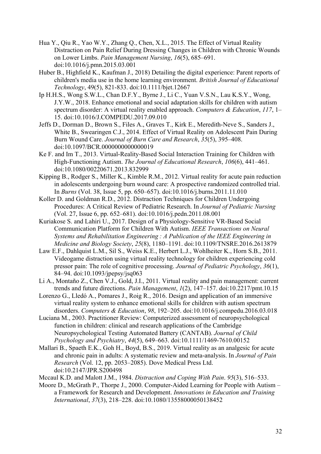- Hua Y., Qiu R., Yao W.Y., Zhang Q., Chen, X.L., 2015. The Effect of Virtual Reality Distraction on Pain Relief During Dressing Changes in Children with Chronic Wounds on Lower Limbs. *Pain Management Nursing*, *16*(5), 685–691. doi:10.1016/j.pmn.2015.03.001
- Huber B., Highfield K., Kaufman J., 2018) Detailing the digital experience: Parent reports of children's media use in the home learning environment. *British Journal of Educational Technology*, 49(5), 821-833. doi:10.1111/bjet.12667
- Ip H.H.S., Wong S.W.L., Chan D.F.Y., Byrne J., Li C., Yuan V.S.N., Lau K.S.Y., Wong, J.Y.W., 2018. Enhance emotional and social adaptation skills for children with autism spectrum disorder: A virtual reality enabled approach. *Computers & Education*, *117*, 1– 15. doi:10.1016/J.COMPEDU.2017.09.010
- Jeffs D., Dorman D., Brown S., Files A., Graves T., Kirk E., Meredith-Neve S., Sanders J., White B., Swearingen C.J., 2014. Effect of Virtual Reality on Adolescent Pain During Burn Wound Care. *Journal of Burn Care and Research*, *35*(5), 395–408. doi:10.1097/BCR.0000000000000019
- Ke F. and Im T., 2013. Virtual-Reality-Based Social Interaction Training for Children with High-Functioning Autism. *The Journal of Educational Research*, *106*(6), 441–461. doi:10.1080/00220671.2013.832999
- Kipping B., Rodger S., Miller K., Kimble R.M., 2012. Virtual reality for acute pain reduction in adolescents undergoing burn wound care: A prospective randomized controlled trial. In *Burns* (Vol. 38, Issue 5, pp. 650–657). doi:10.1016/j.burns.2011.11.010
- Koller D. and Goldman R.D., 2012. Distraction Techniques for Children Undergoing Procedures: A Critical Review of Pediatric Research. In *Journal of Pediatric Nursing* (Vol. 27, Issue 6, pp. 652–681). doi:10.1016/j.pedn.2011.08.001
- Kuriakose S. and Lahiri U., 2017. Design of a Physiology-Sensitive VR-Based Social Communication Platform for Children With Autism. *IEEE Transactions on Neural Systems and Rehabilitation Engineering : A Publication of the IEEE Engineering in Medicine and Biology Society*, *25*(8), 1180–1191. doi:10.1109/TNSRE.2016.2613879
- Law E.F., Dahlquist L.M., Sil S., Weiss K.E., Herbert L.J., Wohlheiter K., Horn S.B., 2011. Videogame distraction using virtual reality technology for children experiencing cold pressor pain: The role of cognitive processing. *Journal of Pediatric Psychology*, *36*(1), 84–94. doi:10.1093/jpepsy/jsq063
- Li A., Montaño Z., Chen V.J., Gold, J.I., 2011. Virtual reality and pain management: current trends and future directions. *Pain Management*, *1*(2), 147–157. doi:10.2217/pmt.10.15
- Lorenzo G., Lledó A., Pomares J., Roig R., 2016. Design and application of an immersive virtual reality system to enhance emotional skills for children with autism spectrum disorders. *Computers & Education*, *98*, 192–205. doi:10.1016/j.compedu.2016.03.018
- Luciana M., 2003. Practitioner Review: Computerized assessment of neuropsychological function in children: clinical and research applications of the Cambridge Neuropsychological Testing Automated Battery (CANTAB). *Journal of Child Psychology and Psychiatry*, *44*(5), 649–663. doi:10.1111/1469-7610.00152
- Mallari B., Spaeth E.K., Goh H., Boyd, B.S., 2019. Virtual reality as an analgesic for acute and chronic pain in adults: A systematic review and meta-analysis. In *Journal of Pain Research* (Vol. 12, pp. 2053–2085). Dove Medical Press Ltd. doi:10.2147/JPR.S200498

Mccaul K.D. and Malott J.M., 1984. *Distraction and Coping With Pain*. *95*(3), 516–533.

Moore D., McGrath P., Thorpe J., 2000. Computer-Aided Learning for People with Autism – a Framework for Research and Development. *Innovations in Education and Training International*, *37*(3), 218–228. doi:10.1080/13558000050138452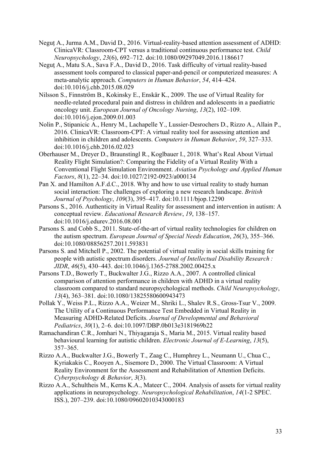- Neguț A., Jurma A.M., David D., 2016. Virtual-reality-based attention assessment of ADHD: ClinicaVR: Classroom-CPT versus a traditional continuous performance test. *Child Neuropsychology*, *23*(6), 692–712. doi:10.1080/09297049.2016.1186617
- Neguţ A., Matu S.A., Sava F.A., David D., 2016. Task difficulty of virtual reality-based assessment tools compared to classical paper-and-pencil or computerized measures: A meta-analytic approach. *Computers in Human Behavior*, *54*, 414–424. doi:10.1016/j.chb.2015.08.029
- Nilsson S., Finnström B., Kokinsky E., Enskär K., 2009. The use of Virtual Reality for needle-related procedural pain and distress in children and adolescents in a paediatric oncology unit. *European Journal of Oncology Nursing*, *13*(2), 102–109. doi:10.1016/j.ejon.2009.01.003
- Nolin P., Stipanicic A., Henry M., Lachapelle Y., Lussier-Desrochers D., Rizzo A., Allain P., 2016. ClinicaVR: Classroom-CPT: A virtual reality tool for assessing attention and inhibition in children and adolescents. *Computers in Human Behavior*, *59*, 327–333. doi:10.1016/j.chb.2016.02.023
- Oberhauser M., Dreyer D., Braunstingl R., Koglbauer I., 2018. What's Real About Virtual Reality Flight Simulation?: Comparing the Fidelity of a Virtual Reality With a Conventional Flight Simulation Environment. *Aviation Psychology and Applied Human Factors*, *8*(1), 22–34. doi:10.1027/2192-0923/a000134
- Pan X. and Hamilton A.F.d.C., 2018. Why and how to use virtual reality to study human social interaction: The challenges of exploring a new research landscape. *British Journal of Psychology*, *109*(3), 395–417. doi:10.1111/bjop.12290
- Parsons S., 2016. Authenticity in Virtual Reality for assessment and intervention in autism: A conceptual review. *Educational Research Review*, *19*, 138–157. doi:10.1016/j.edurev.2016.08.001
- Parsons S. and Cobb S., 2011. State-of-the-art of virtual reality technologies for children on the autism spectrum. *European Journal of Special Needs Education*, *26*(3), 355–366. doi:10.1080/08856257.2011.593831
- Parsons S. and Mitchell P., 2002. The potential of virtual reality in social skills training for people with autistic spectrum disorders. *Journal of Intellectual Disability Research : JIDR*, *46*(5), 430–443. doi:10.1046/j.1365-2788.2002.00425.x
- Parsons T.D., Bowerly T., Buckwalter J.G., Rizzo A.A., 2007. A controlled clinical comparison of attention performance in children with ADHD in a virtual reality classroom compared to standard neuropsychological methods. *Child Neuropsychology*, *13*(4), 363–381. doi:10.1080/13825580600943473
- Pollak Y., Weiss P.L., Rizzo A.A., Weizer M., Shriki L., Shalev R.S., Gross-Tsur V., 2009. The Utility of a Continuous Performance Test Embedded in Virtual Reality in Measuring ADHD-Related Deficits. *Journal of Developmental and Behavioral Pediatrics*, *30*(1), 2–6. doi:10.1097/DBP.0b013e3181969b22
- Ramachandiran C.R., Jomhari N., Thiyagaraja S., Maria M., 2015. Virtual reality based behavioural learning for autistic children. *Electronic Journal of E-Learning*, *13*(5), 357–365.
- Rizzo A.A., Buckwalter J.G., Bowerly T., Zaag C., Humphrey L., Neumann U., Chua C., Kyriakakis C., Rooyen A., Sisemore D., 2000. The Virtual Classroom: A Virtual Reality Environment for the Assessment and Rehabilitation of Attention Deficits. *Cyberpsychology & Behavior*, *3*(3).
- Rizzo A.A., Schultheis M., Kerns K.A., Mateer C., 2004. Analysis of assets for virtual reality applications in neuropsychology. *Neuropsychological Rehabilitation*, *14*(1-2 SPEC. ISS.), 207–239. doi:10.1080/09602010343000183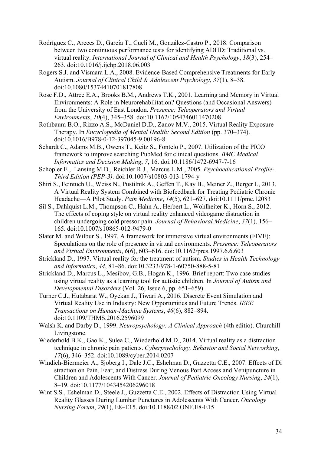- Rodríguez C., Areces D., García T., Cueli M., González-Castro P., 2018. Comparison between two continuous performance tests for identifying ADHD: Traditional vs. virtual reality. *International Journal of Clinical and Health Psychology*, *18*(3), 254– 263. doi:10.1016/j.ijchp.2018.06.003
- Rogers S.J. and Vismara L.A., 2008. Evidence-Based Comprehensive Treatments for Early Autism. *Journal of Clinical Child & Adolescent Psychology*, *37*(1), 8–38. doi:10.1080/15374410701817808
- Rose F.D., Attree E.A., Brooks B.M., Andrews T.K., 2001. Learning and Memory in Virtual Environments: A Role in Neurorehabilitation? Questions (and Occasional Answers) from the University of East London. *Presence: Teleoperators and Virtual Environments*, *10*(4), 345–358. doi:10.1162/1054746011470208
- Rothbaum B.O., Rizzo A.S., McDaniel D.D., Zanov M.V., 2015. Virtual Reality Exposure Therapy. In *Encyclopedia of Mental Health: Second Edition* (pp. 370–374). doi:10.1016/B978-0-12-397045-9.00196-8
- Schardt C., Adams M.B., Owens T., Keitz S., Fontelo P., 2007. Utilization of the PICO framework to improve searching PubMed for clinical questions. *BMC Medical Informatics and Decision Making*, *7*, 16. doi:10.1186/1472-6947-7-16
- Schopler E., Lansing M.D., Reichler R.J., Marcus L.M., 2005. *Psychoeducational Profile-Third Edition (PEP-3)*. doi:10.1007/s10803-013-1794-y
- Shiri S., Feintuch U., Weiss N., Pustilnik A., Geffen T., Kay B., Meiner Z., Berger I., 2013. A Virtual Reality System Combined with Biofeedback for Treating Pediatric Chronic Headache—A Pilot Study. *Pain Medicine*, *14*(5), 621–627. doi:10.1111/pme.12083
- Sil S., Dahlquist L.M., Thompson C., Hahn A., Herbert L., Wohlheiter K., Horn S., 2012. The effects of coping style on virtual reality enhanced videogame distraction in children undergoing cold pressor pain. *Journal of Behavioral Medicine*, *37*(1), 156– 165. doi:10.1007/s10865-012-9479-0
- Slater M. and Wilbur S., 1997. A framework for immersive virtual environments (FIVE): Speculations on the role of presence in virtual environments. *Presence: Teleoperators and Virtual Environments*, *6*(6), 603–616. doi:10.1162/pres.1997.6.6.603
- Strickland D., 1997. Virtual reality for the treatment of autism. *Studies in Health Technology and Informatics*, *44*, 81–86. doi:10.3233/978-1-60750-888-5-81
- Strickland D., Marcus L., Mesibov, G.B., Hogan K., 1996. Brief report: Two case studies using virtual reality as a learning tool for autistic children. In *Journal of Autism and Developmental Disorders* (Vol. 26, Issue 6, pp. 651–659).
- Turner C.J., Hutabarat W., Oyekan J., Tiwari A., 2016. Discrete Event Simulation and Virtual Reality Use in Industry: New Opportunities and Future Trends. *IEEE Transactions on Human-Machine Systems*, *46*(6), 882–894. doi:10.1109/THMS.2016.2596099
- Walsh K. and Darby D., 1999. *Neuropsychology: A Clinical Approach* (4th editio). Churchill Livingstone.
- Wiederhold B.K., Gao K., Sulea C., Wiederhold M.D., 2014. Virtual reality as a distraction technique in chronic pain patients. *Cyberpsychology, Behavior and Social Networking*, *17*(6), 346–352. doi:10.1089/cyber.2014.0207
- Windich-Biermeier A., Sjoberg I., Dale J.C., Eshelman D., Guzzetta C.E., 2007. Effects of Di straction on Pain, Fear, and Distress During Venous Port Access and Venipuncture in Children and Adolescents With Cancer. *Journal of Pediatric Oncology Nursing*, *24*(1), 8–19. doi:10.1177/1043454206296018
- Wint S.S., Eshelman D., Steele J., Guzzetta C.E., 2002. Effects of Distraction Using Virtual Reality Glasses During Lumbar Punctures in Adolescents With Cancer. *Oncology Nursing Forum*, *29*(1), E8–E15. doi:10.1188/02.ONF.E8-E15